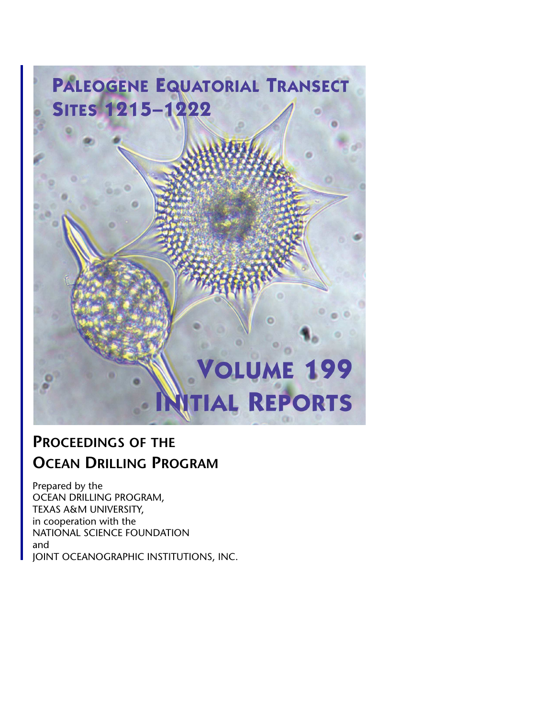<span id="page-0-0"></span>

### **PROCEEDINGS OF THE OCEAN DRILLING PROGRAM**

Prepared by the OCEAN DRILLING PROGRAM, TEXAS A&M UNIVERSITY, in cooperation with the NATIONAL SCIENCE FOUNDATION and JOINT OCEANOGRAPHIC INSTITUTIONS, INC.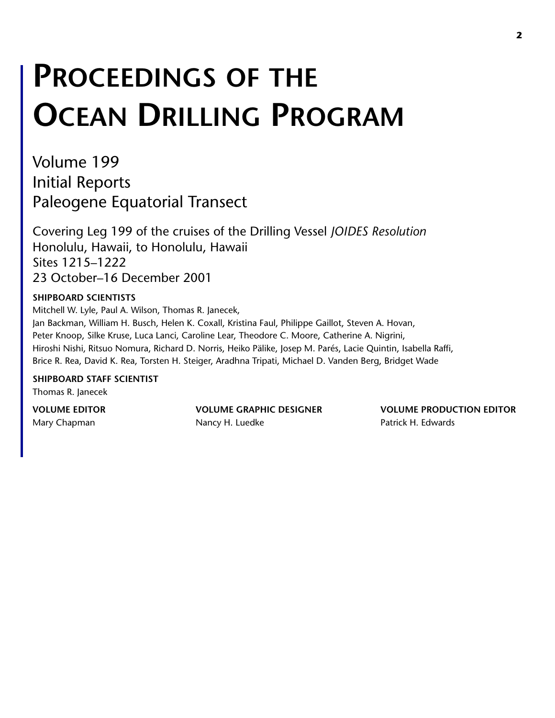# **PROCEEDINGS OF THE OCEAN DRILLING PROGRAM**

Volume 199 Initial Reports Paleogene Equatorial Transect

Covering Leg 199 of the cruises of the Drilling Vessel *JOIDES Resolution* Honolulu, Hawaii, to Honolulu, Hawaii Sites 1215–1222 23 October–16 December 2001

#### **SHIPBOARD SCIENTISTS**

Mitchell W. Lyle, Paul A. Wilson, Thomas R. Janecek, Jan Backman, William H. Busch, Helen K. Coxall, Kristina Faul, Philippe Gaillot, Steven A. Hovan, Peter Knoop, Silke Kruse, Luca Lanci, Caroline Lear, Theodore C. Moore, Catherine A. Nigrini, Hiroshi Nishi, Ritsuo Nomura, Richard D. Norris, Heiko Pälike, Josep M. Parés, Lacie Quintin, Isabella Raffi, Brice R. Rea, David K. Rea, Torsten H. Steiger, Aradhna Tripati, Michael D. Vanden Berg, Bridget Wade

**SHIPBOARD STAFF SCIENTIST** Thomas R. Janecek

Mary Chapman **Nancy H. Luedke** Patrick H. Edwards Patrick H. Edwards

**VOLUME EDITOR VOLUME GRAPHIC DESIGNER VOLUME PRODUCTION EDITOR**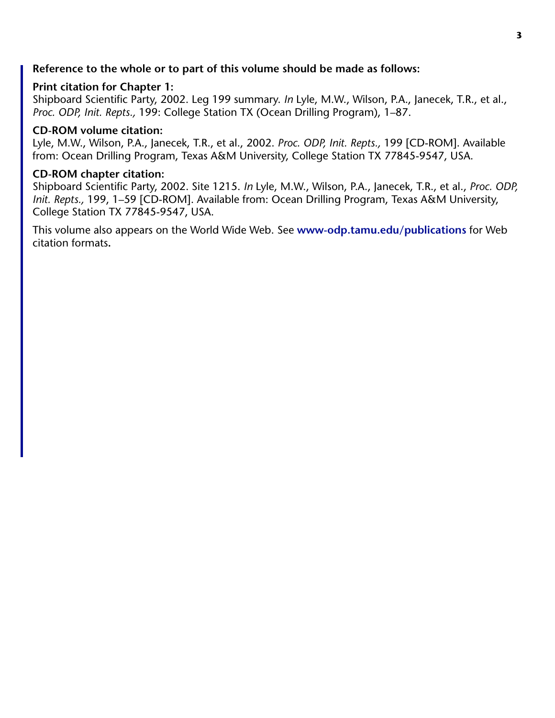#### **Reference to the whole or to part of this volume should be made as follows:**

#### **Print citation for Chapter 1:**

Shipboard Scientific Party, 2002. Leg 199 summary. *In* Lyle, M.W., Wilson, P.A., Janecek, T.R., et al., *Proc. ODP, Init. Repts.,* 199: College Station TX (Ocean Drilling Program), 1–87.

#### **CD-ROM volume citation:**

Lyle, M.W., Wilson, P.A., Janecek, T.R., et al., 2002. *Proc. ODP, Init. Repts.,* 199 [CD-ROM]. Available from: Ocean Drilling Program, Texas A&M University, College Station TX 77845-9547, USA.

#### **CD-ROM chapter citation:**

Shipboard Scientific Party, 2002. Site 1215. *In* Lyle, M.W., Wilson, P.A., Janecek, T.R., et al., *Proc. ODP, Init. Repts.,* 199, 1–59 [CD-ROM]. Available from: Ocean Drilling Program, Texas A&M University, College Station TX 77845-9547, USA.

This volume also appears on the World Wide Web. See **[www-odp.tamu.edu/publications](http://www-odp.tamu.edu/publications)** for Web citation formats**.**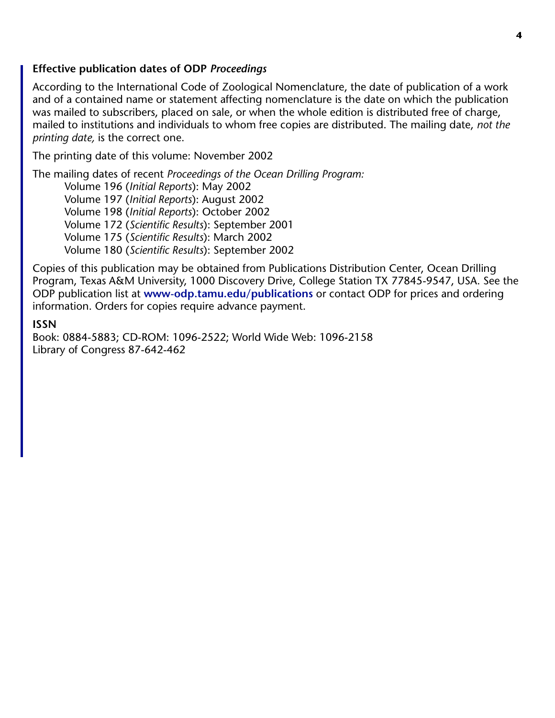#### **Effective publication dates of ODP** *Proceedings*

According to the International Code of Zoological Nomenclature, the date of publication of a work and of a contained name or statement affecting nomenclature is the date on which the publication was mailed to subscribers, placed on sale, or when the whole edition is distributed free of charge, mailed to institutions and individuals to whom free copies are distributed. The mailing date, *not the printing date,* is the correct one.

The printing date of this volume: November 2002

The mailing dates of recent *Proceedings of the Ocean Drilling Program:* Volume 196 (*Initial Reports*): May 2002

Volume 197 (*Initial Reports*): August 2002 Volume 198 (*Initial Reports*): October 2002

Volume 172 (*Scientific Results*): September 2001

Volume 175 (*Scientific Results*): March 2002

Volume 180 (*Scientific Results*): September 2002

Copies of this publication may be obtained from Publications Distribution Center, Ocean Drilling Program, Texas A&M University, 1000 Discovery Drive, College Station TX 77845-9547, USA. See the ODP publication list at **[www-odp.tamu.edu/publications](http://www-odp.tamu.edu/publications)** or contact ODP for prices and ordering information. Orders for copies require advance payment.

#### **ISSN**

Book: 0884-5883; CD-ROM: 1096-2522; World Wide Web: 1096-2158 Library of Congress 87-642-462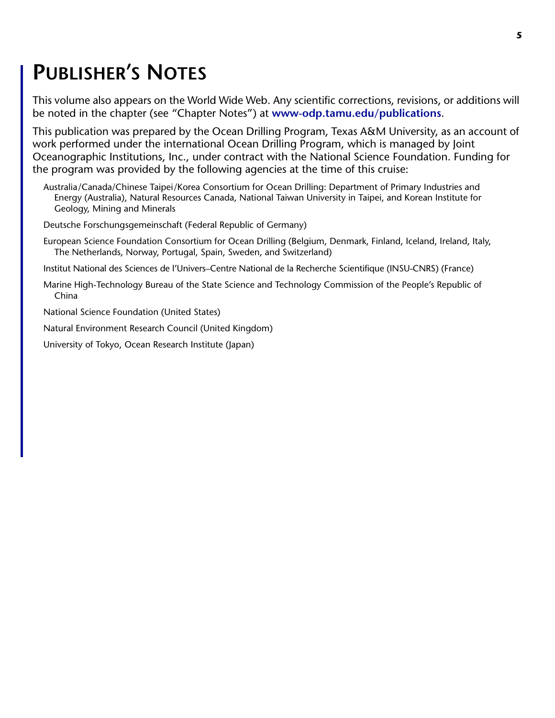### <span id="page-4-0"></span>**PUBLISHER'S NOTES**

This volume also appears on the World Wide Web. Any scientific corrections, revisions, or additions will be noted in the chapter (see "Chapter Notes") at **[www-odp.tamu.edu/publications](http://www-odp.tamu.edu/publications)**.

This publication was prepared by the Ocean Drilling Program, Texas A&M University, as an account of work performed under the international Ocean Drilling Program, which is managed by Joint Oceanographic Institutions, Inc., under contract with the National Science Foundation. Funding for the program was provided by the following agencies at the time of this cruise:

Australia/Canada/Chinese Taipei/Korea Consortium for Ocean Drilling: Department of Primary Industries and Energy (Australia), Natural Resources Canada, National Taiwan University in Taipei, and Korean Institute for Geology, Mining and Minerals

Deutsche Forschungsgemeinschaft (Federal Republic of Germany)

European Science Foundation Consortium for Ocean Drilling (Belgium, Denmark, Finland, Iceland, Ireland, Italy, The Netherlands, Norway, Portugal, Spain, Sweden, and Switzerland)

Institut National des Sciences de l'Univers–Centre National de la Recherche Scientifique (INSU-CNRS) (France)

Marine High-Technology Bureau of the State Science and Technology Commission of the People's Republic of China

National Science Foundation (United States)

Natural Environment Research Council (United Kingdom)

University of Tokyo, Ocean Research Institute (Japan)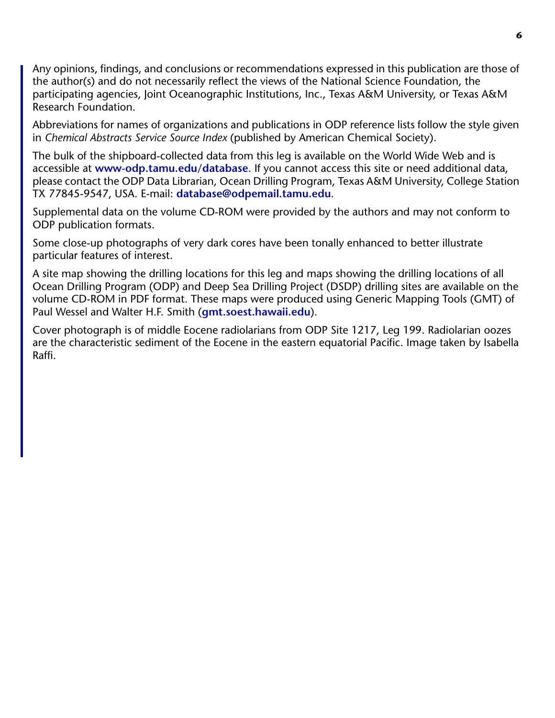Any opinions, findings, and conclusions or recommendations expressed in this publication are those of the author(s) and do not necessarily reflect the views of the National Science Foundation, the participating agencies, Joint Oceanographic Institutions, Inc., Texas A&M University, or Texas A&M Research Foundation.

Abbreviations for names of organizations and publications in ODP reference lists follow the style given in *Chemical Abstracts Service Source Index* (published by American Chemical Society).

The bulk of the shipboard-collected data from this leg is available on the World Wide Web and is accessible at **[www-odp.tamu.edu/database](http://www-odp.tamu.edu/database)**. If you cannot access this site or need additional data, please contact the ODP Data Librarian, Ocean Drilling Program, Texas A&M University, College Station TX 77845-9547, USA. E-mail: **[database@odpemail.tamu.edu](mailto:database@odpemail.tamu.edu)**.

Supplemental data on the volume CD-ROM were provided by the authors and may not conform to ODP publication formats.

Some close-up photographs of very dark cores have been tonally enhanced to better illustrate particular features of interest.

A site map showing the drilling locations for this leg and maps showing the drilling locations of all Ocean Drilling Program (ODP) and Deep Sea Drilling Project (DSDP) drilling sites are available on the volume CD-ROM in PDF format. These maps were produced using Generic Mapping Tools (GMT) of Paul Wessel and Walter H.F. Smith (**[gmt.soest.hawaii.edu](http://gmt.soest.hawaii.edu)**).

Cover photograph is of middle Eocene radiolarians from ODP Site 1217, Leg 199. Radiolarian oozes are the characteristic sediment of the Eocene in the eastern equatorial Pacific. Image taken by Isabella Raffi.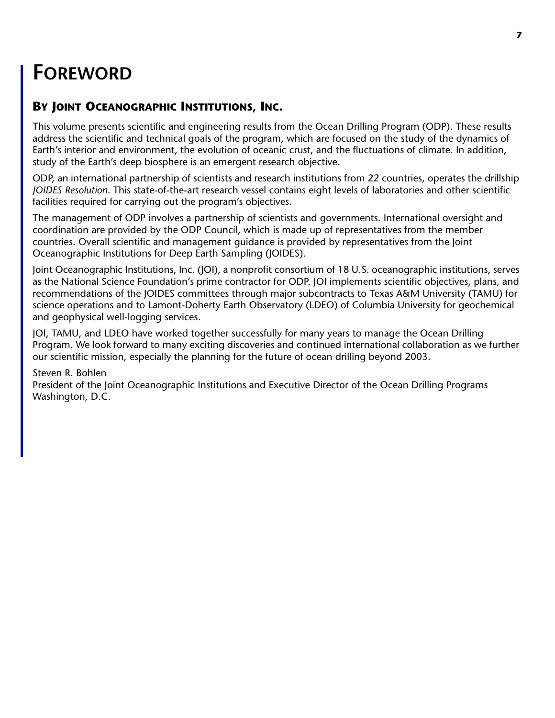### **FOREWORD**

### **BY JOINT OCEANOGRAPHIC INSTITUTIONS, INC.**

This volume presents scientific and engineering results from the Ocean Drilling Program (ODP). These results address the scientific and technical goals of the program, which are focused on the study of the dynamics of Earth's interior and environment, the evolution of oceanic crust, and the fluctuations of climate. In addition, study of the Earth's deep biosphere is an emergent research objective.

ODP, an international partnership of scientists and research institutions from 22 countries, operates the drillship *JOIDES Resolution*. This state-of-the-art research vessel contains eight levels of laboratories and other scientific facilities required for carrying out the program's objectives.

The management of ODP involves a partnership of scientists and governments. International oversight and coordination are provided by the ODP Council, which is made up of representatives from the member countries. Overall scientific and management guidance is provided by representatives from the Joint Oceanographic Institutions for Deep Earth Sampling (JOIDES).

Joint Oceanographic Institutions, Inc. (JOI), a nonprofit consortium of 18 U.S. oceanographic institutions, serves as the National Science Foundation's prime contractor for ODP. JOI implements scientific objectives, plans, and recommendations of the JOIDES committees through major subcontracts to Texas A&M University (TAMU) for science operations and to Lamont-Doherty Earth Observatory (LDEO) of Columbia University for geochemical and geophysical well-logging services.

JOI, TAMU, and LDEO have worked together successfully for many years to manage the Ocean Drilling Program. We look forward to many exciting discoveries and continued international collaboration as we further our scientific mission, especially the planning for the future of ocean drilling beyond 2003.

Steven R. Bohlen

President of the Joint Oceanographic Institutions and Executive Director of the Ocean Drilling Programs Washington, D.C.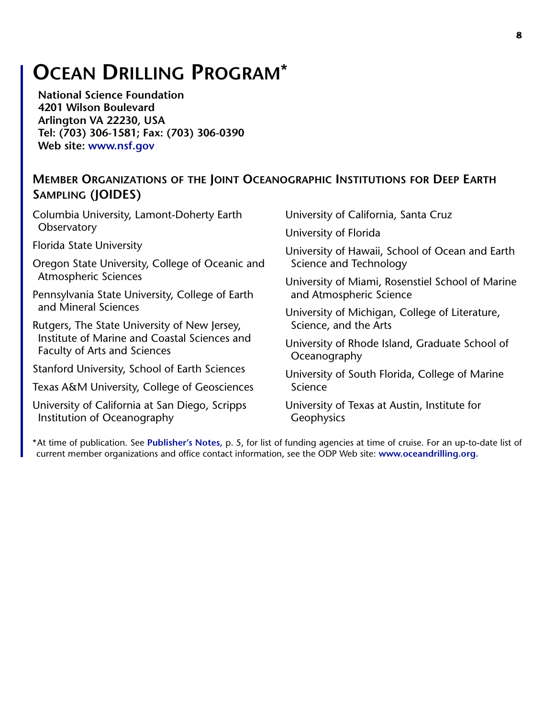### **OCEAN DRILLING PROGRAM\***

**National Science Foundation 4201 Wilson Boulevard Arlington VA 22230, USA Tel: (703) 306-1581; Fax: (703) 306-0390 Web site: [www.nsf.gov](http://www.nsf.gov/)**

#### **MEMBER ORGANIZATIONS OF THE JOINT OCEANOGRAPHIC INSTITUTIONS FOR DEEP EARTH SAMPLING (JOIDES)**

Columbia University, Lamont-Doherty Earth **Observatory** 

Florida State University

Oregon State University, College of Oceanic and Atmospheric Sciences

Pennsylvania State University, College of Earth and Mineral Sciences

Rutgers, The State University of New Jersey, Institute of Marine and Coastal Sciences and Faculty of Arts and Sciences

Stanford University, School of Earth Sciences

Texas A&M University, College of Geosciences

University of California at San Diego, Scripps Institution of Oceanography

University of California, Santa Cruz

University of Florida

University of Hawaii, School of Ocean and Earth Science and Technology

University of Miami, Rosenstiel School of Marine and Atmospheric Science

University of Michigan, College of Literature, Science, and the Arts

University of Rhode Island, Graduate School of **Oceanography** 

University of South Florida, College of Marine Science

University of Texas at Austin, Institute for **Geophysics** 

\*At time of publication. See **[Publisher's Notes,](#page-4-0)** p. 5, for list of funding agencies at time of cruise. For an up-to-date list of current member organizations and office contact information, see the ODP Web site: **[www.oceandrilling.org.](http://www.oceandrilling.org/)**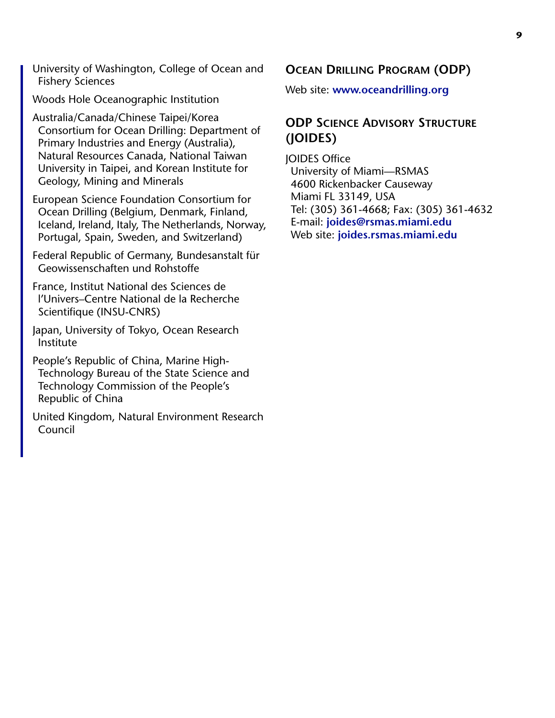University of Washington, College of Ocean and Fishery Sciences

Woods Hole Oceanographic Institution

Australia/Canada/Chinese Taipei/Korea Consortium for Ocean Drilling: Department of Primary Industries and Energy (Australia), Natural Resources Canada, National Taiwan University in Taipei, and Korean Institute for Geology, Mining and Minerals

European Science Foundation Consortium for Ocean Drilling (Belgium, Denmark, Finland, Iceland, Ireland, Italy, The Netherlands, Norway, Portugal, Spain, Sweden, and Switzerland)

Federal Republic of Germany, Bundesanstalt für Geowissenschaften und Rohstoffe

France, Institut National des Sciences de l'Univers–Centre National de la Recherche Scientifique (INSU-CNRS)

Japan, University of Tokyo, Ocean Research Institute

People's Republic of China, Marine High-Technology Bureau of the State Science and Technology Commission of the People's Republic of China

United Kingdom, Natural Environment Research Council

**OCEAN DRILLING PROGRAM (ODP)**

Web site: **[www.oceandrilling.org](http://www.oceandrilling.org/)**

#### **ODP SCIENCE ADVISORY STRUCTURE (JOIDES)**

JOIDES Office University of Miami—RSMAS 4600 Rickenbacker Causeway Miami FL 33149, USA Tel: (305) 361-4668; Fax: (305) 361-4632 E-mail: **[joides@rsmas.miami.edu](mailto:joides@rsmas.miami.edu)** Web site: **[joides.rsmas.miami.edu](http://joides.rsmas.miami.edu)**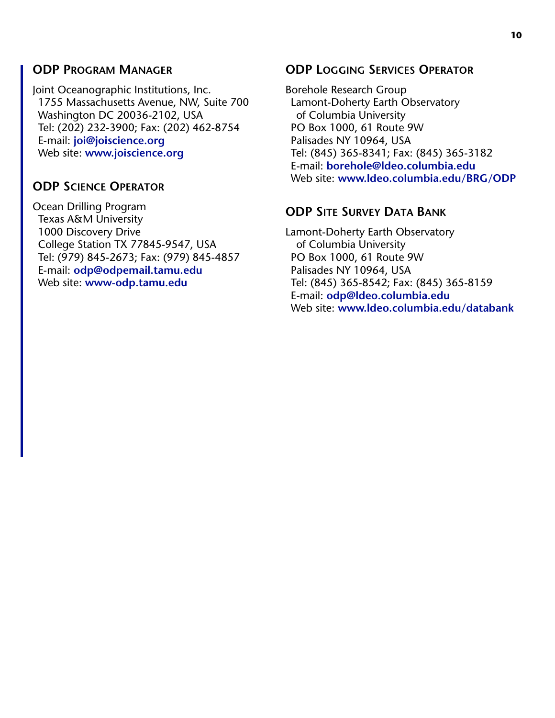#### **ODP PROGRAM MANAGER**

Joint Oceanographic Institutions, Inc. 1755 Massachusetts Avenue, NW, Suite 700 Washington DC 20036-2102, USA Tel: (202) 232-3900; Fax: (202) 462-8754 E-mail: **[joi@joiscience.org](mailto:joi@joiscience.org)** Web site: **[www.joiscience.org](http://www.joiscience.org)**

#### **ODP SCIENCE OPERATOR**

Ocean Drilling Program Texas A&M University 1000 Discovery Drive College Station TX 77845-9547, USA Tel: (979) 845-2673; Fax: (979) 845-4857 E-mail: **[odp@odpemail.tamu.edu](mailto:odp@odpemail.tamu.edu)** Web site: **[www-odp.tamu.edu](http://www-odp.tamu.edu/)**

#### **ODP LOGGING SERVICES OPERATOR**

Borehole Research Group Lamont-Doherty Earth Observatory of Columbia University PO Box 1000, 61 Route 9W Palisades NY 10964, USA Tel: (845) 365-8341; Fax: (845) 365-3182 E-mail: **[borehole@ldeo.columbia.edu](mailto:borehole@ldeo.columbia.edu)** Web site: **[www.ldeo.columbia.edu/BRG/ODP](http://www.ldeo.columbia.edu/BRG/ODP)**

#### **ODP SITE SURVEY DATA BANK**

Lamont-Doherty Earth Observatory of Columbia University PO Box 1000, 61 Route 9W Palisades NY 10964, USA Tel: (845) 365-8542; Fax: (845) 365-8159 E-mail: **[odp@ldeo.columbia.edu](mailto:odp@ldeo.columbia.edu)** Web site: **[www.ldeo.columbia.edu/databank](http://www.ldeo.columbia.edu/databank)**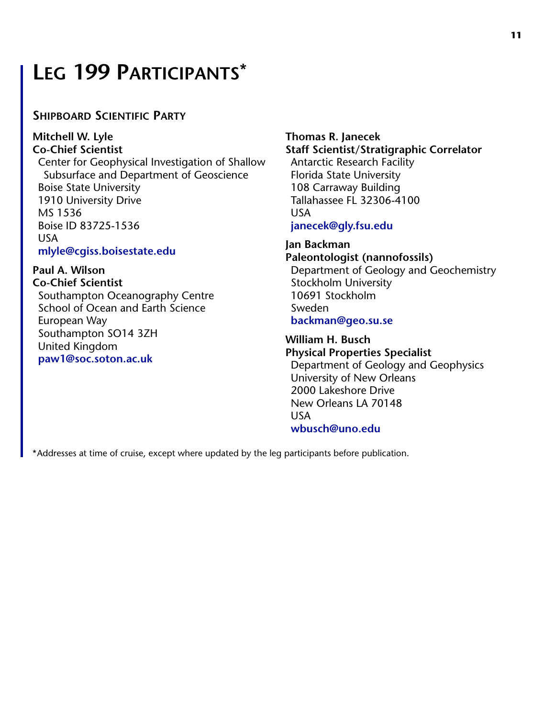### **LEG 199 PARTICIPANTS\***

#### **SHIPBOARD SCIENTIFIC PARTY**

**Mitchell W. Lyle Co-Chief Scientist** Center for Geophysical Investigation of Shallow Subsurface and Department of Geoscience Boise State University 1910 University Drive MS 1536 Boise ID 83725-1536 USA **[mlyle@cgiss.boisestate.edu](mailto:mlyle@cgiss.boisestate.edu)**

**Paul A. Wilson Co-Chief Scientist** Southampton Oceanography Centre School of Ocean and Earth Science European Way Southampton SO14 3ZH United Kingdom **[paw1@soc.soton.ac.uk](mailto:paw1@soc.soton.ac.uk)**

#### **Thomas R. Janecek Staff Scientist/Stratigraphic Correlator** Antarctic Research Facility

Florida State University 108 Carraway Building Tallahassee FL 32306-4100 USA **[janecek@gly.fsu.edu](mailto:janecek@gly.fsu.edu)**

**Jan Backman Paleontologist (nannofossils)** Department of Geology and Geochemistry Stockholm University 10691 Stockholm Sweden **[backman@geo.su.se](mailto:backman@geo.su.se)**

**William H. Busch Physical Properties Specialist** Department of Geology and Geophysics University of New Orleans 2000 Lakeshore Drive New Orleans LA 70148 USA **[wbusch@uno.edu](mailto:wbusch@uno.edu)**

\*Addresses at time of cruise, except where updated by the leg participants before publication.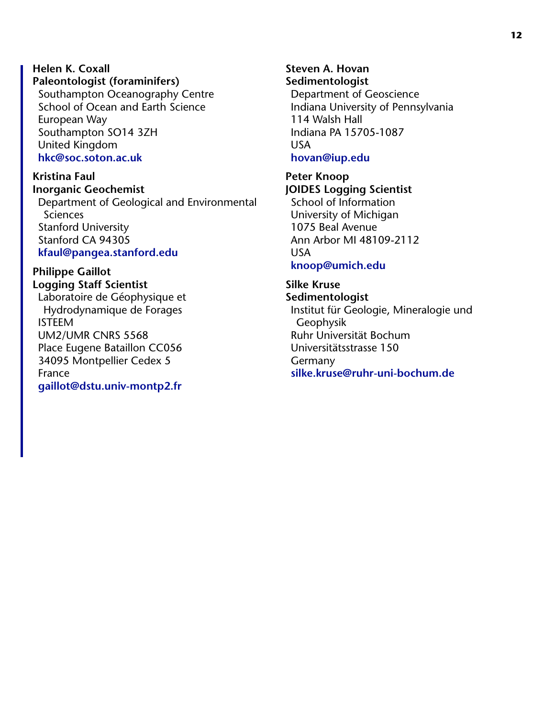**Helen K. Coxall Paleontologist (foraminifers)** Southampton Oceanography Centre School of Ocean and Earth Science European Way Southampton SO14 3ZH United Kingdom **[hkc@soc.soton.ac.uk](mailto:hkc@soc.soton.ac.uk)**

**Kristina Faul Inorganic Geochemist** Department of Geological and Environmental Sciences Stanford University Stanford CA 94305 **[kfaul@pangea.stanford.edu](mailto:kfaul@pangea.stanford.edu)**

**Philippe Gaillot Logging Staff Scientist** Laboratoire de Géophysique et Hydrodynamique de Forages ISTEEM UM2/UMR CNRS 5568 Place Eugene Bataillon CC056 34095 Montpellier Cedex 5 France **[gaillot@dstu.univ-montp2.fr](mailto:gaillot@dstu.univ-montp2.fr)**

**Steven A. Hovan Sedimentologist** Department of Geoscience Indiana University of Pennsylvania 114 Walsh Hall Indiana PA 15705-1087 USA **[hovan@iup.edu](mailto:hovan@iup.edu)**

**Peter Knoop JOIDES Logging Scientist** School of Information University of Michigan 1075 Beal Avenue Ann Arbor MI 48109-2112 USA **[knoop@umich.edu](mailto:knoop@umich.edu)**

**Silke Kruse Sedimentologist** Institut für Geologie, Mineralogie und Geophysik Ruhr Universität Bochum Universitätsstrasse 150 Germany **[silke.kruse@ruhr-uni-bochum.de](mailto:silke.kruse@ruhr-uni-bochum.de)**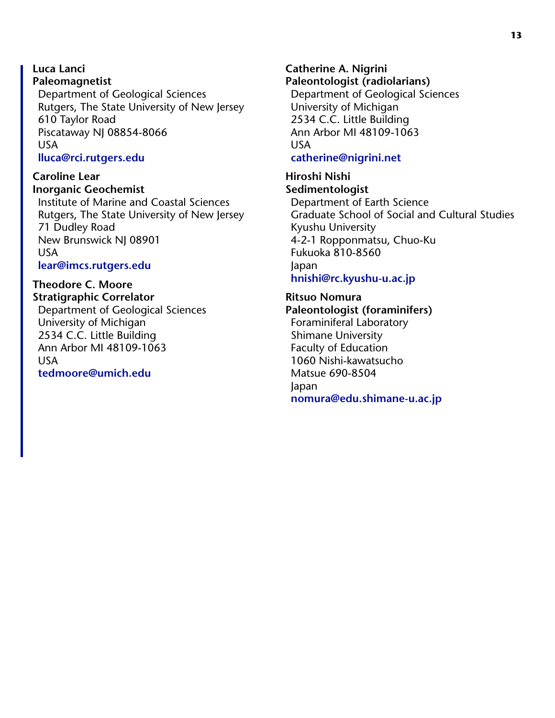**Luca Lanci Paleomagnetist** Department of Geological Sciences Rutgers, The State University of New Jersey 610 Taylor Road Piscataway NJ 08854-8066 USA **[lluca@rci.rutgers.edu](mailto:lluca@rci.rutgers.edu)**

**Caroline Lear Inorganic Geochemist**

Institute of Marine and Coastal Sciences Rutgers, The State University of New Jersey 71 Dudley Road New Brunswick NJ 08901 USA **[lear@imcs.rutgers.edu](mailto:lear@imcs.rutgers.edu)**

**Theodore C. Moore Stratigraphic Correlator** Department of Geological Sciences

<span id="page-12-0"></span>University of Michigan 2534 C.C. Little Building Ann Arbor MI 48109-1063 USA **[tedmoore@umich.edu](mailto:tedmoore@umich.edu)**

**Catherine A. Nigrini Paleontologist (radiolarians)** Department of Geological Sciences University of Michigan 2534 C.C. Little Building Ann Arbor MI 48109-1063 USA **[catherine@nigrini.net](mailto:catherine@nigrini.net)**

**Hiroshi Nishi Sedimentologist** Department of Earth Science Graduate School of Social and Cultural Studies Kyushu University 4-2-1 Ropponmatsu, Chuo-Ku Fukuoka 810-8560 Japan **[hnishi@rc.kyushu-u.ac.jp](mailto:hnishi@rc.kyushu-u.ac.jp)**

**Ritsuo Nomura Paleontologist (foraminifers)** Foraminiferal Laboratory Shimane University Faculty of Education 1060 Nishi-kawatsucho Matsue 690-8504 Japan **[nomura@edu.shimane-u.ac.jp](mailto:nomura@edu.shimane-u.ac.jp)**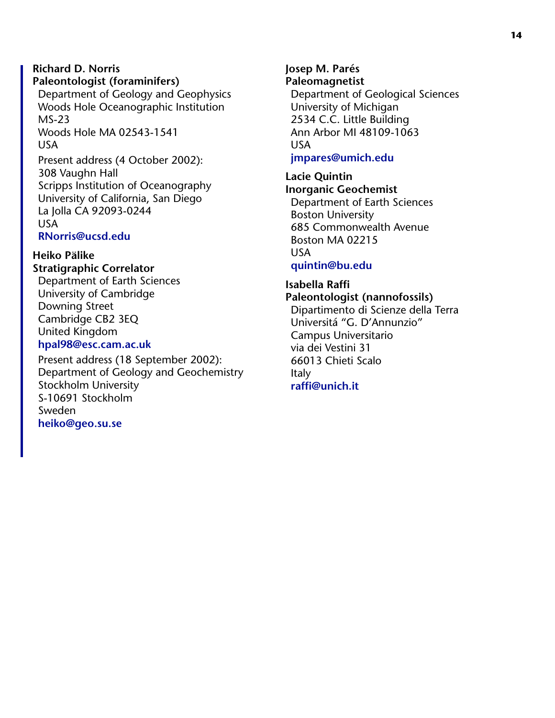#### **Richard D. Norris Paleontologist (foraminifers)**

Department of Geology and Geophysics Woods Hole Oceanographic Institution MS-23 Woods Hole MA 02543-1541 USA

Present address (4 October 2002): 308 Vaughn Hall Scripps Institution of Oceanography University of California, San Diego La Jolla CA 92093-0244 USA **[RNorris@ucsd.edu](mailto:RNorris@ucsd.edu)**

#### **Heiko Pälike Stratigraphic Correlator** Department of Earth Sciences University of Cambridge

Downing Street Cambridge CB2 3EQ United Kingdom **[hpal98@esc.cam.ac.uk](mailto:hpal98@esc.cam.ac.uk)**

Present address (18 September 2002): Department of Geology and Geochemistry Stockholm University S-10691 Stockholm Sweden **[heiko@geo.su.se](mailto:heiko@geo.su.se)**

**Josep M. Parés Paleomagnetist** Department of Geological Sciences University of Michigan 2534 C.C. Little Building Ann Arbor MI 48109-1063 USA **[jmpares@umich.edu](mailto:jmpares@umich.edu)**

#### **Lacie Quintin Inorganic Geochemist** Department of Earth Sciences Boston University 685 Commonwealth Avenue Boston MA 02215 USA

#### **[quintin@bu.edu](mailto:quintin@bu.edu)**

#### **Isabella Raffi Paleontologist (nannofossils)**

Dipartimento di Scienze della Terra Universitá "G. D'Annunzio" Campus Universitario via dei Vestini 31 66013 Chieti Scalo Italy **[raffi@unich.it](mailto:raffi@unich.it)**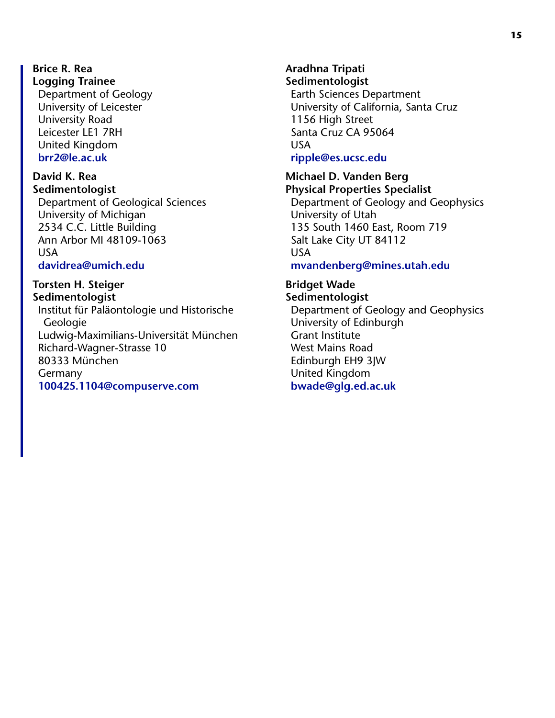**Brice R. Rea Logging Trainee** Department of Geology University of Leicester University Road Leicester LE1 7RH United Kingdom **[brr2@le.ac.uk](mailto:brr2@le.ac.uk)**

**David K. Rea Sedimentologist** Department of Geological Sciences University of Michigan 2534 C.C. Little Building Ann Arbor MI 48109-1063 USA

**[davidrea@umich.edu](mailto:davidrea@umich.edu)**

#### **Torsten H. Steiger Sedimentologist**

Institut für Paläontologie und Historische **Geologie** Ludwig-Maximilians-Universität München Richard-Wagner-Strasse 10 80333 München Germany **[100425.1104@compuserve.com](mailto:100425.1104@compuserve.com)**

**Aradhna Tripati Sedimentologist** Earth Sciences Department University of California, Santa Cruz 1156 High Street Santa Cruz CA 95064 USA **[ripple@es.ucsc.edu](mailto:ripple@es.ucsc.edu)**

**Michael D. Vanden Berg Physical Properties Specialist** Department of Geology and Geophysics University of Utah 135 South 1460 East, Room 719 Salt Lake City UT 84112 USA **[mvandenberg@mines.utah.edu](mailto:mvandenberg@mines.utah.edu)**

**Bridget Wade Sedimentologist** Department of Geology and Geophysics University of Edinburgh Grant Institute West Mains Road Edinburgh EH9 3JW United Kingdom **[bwade@glg.ed.ac.uk](mailto:bwade@glg.ed.ac.uk)**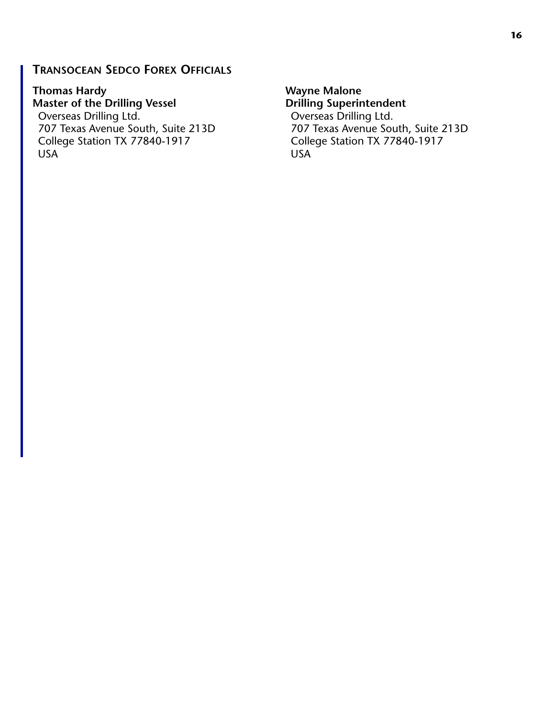#### **TRANSOCEAN SEDCO FOREX OFFICIALS**

**Thomas Hardy Master of the Drilling Vessel** Overseas Drilling Ltd. 707 Texas Avenue South, Suite 213D College Station TX 77840-1917 USA

**Wayne Malone Drilling Superintendent** Overseas Drilling Ltd. 707 Texas Avenue South, Suite 213D College Station TX 77840-1917 USA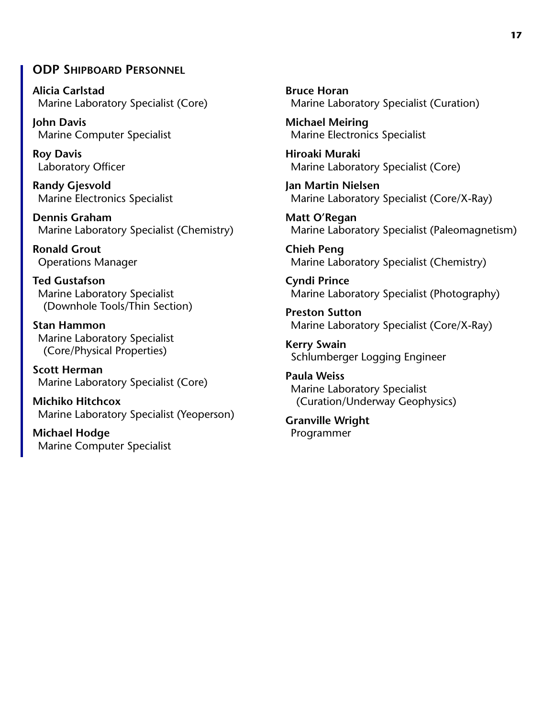#### **ODP SHIPBOARD PERSONNEL**

**Alicia Carlstad** Marine Laboratory Specialist (Core)

**John Davis** Marine Computer Specialist

**Roy Davis** Laboratory Officer

**Randy Gjesvold** Marine Electronics Specialist

**Dennis Graham** Marine Laboratory Specialist (Chemistry)

**Ronald Grout** Operations Manager

**Ted Gustafson** Marine Laboratory Specialist (Downhole Tools/Thin Section)

**Stan Hammon** Marine Laboratory Specialist (Core/Physical Properties)

**Scott Herman** Marine Laboratory Specialist (Core)

**Michiko Hitchcox** Marine Laboratory Specialist (Yeoperson)

**Michael Hodge** Marine Computer Specialist **Bruce Horan** Marine Laboratory Specialist (Curation)

**Michael Meiring** Marine Electronics Specialist

**Hiroaki Muraki** Marine Laboratory Specialist (Core)

**Jan Martin Nielsen** Marine Laboratory Specialist (Core/X-Ray)

**Matt O'Regan** Marine Laboratory Specialist (Paleomagnetism)

**Chieh Peng** Marine Laboratory Specialist (Chemistry)

**Cyndi Prince** Marine Laboratory Specialist (Photography)

**Preston Sutton** Marine Laboratory Specialist (Core/X-Ray)

**Kerry Swain** Schlumberger Logging Engineer

**Paula Weiss** Marine Laboratory Specialist (Curation/Underway Geophysics)

**Granville Wright** Programmer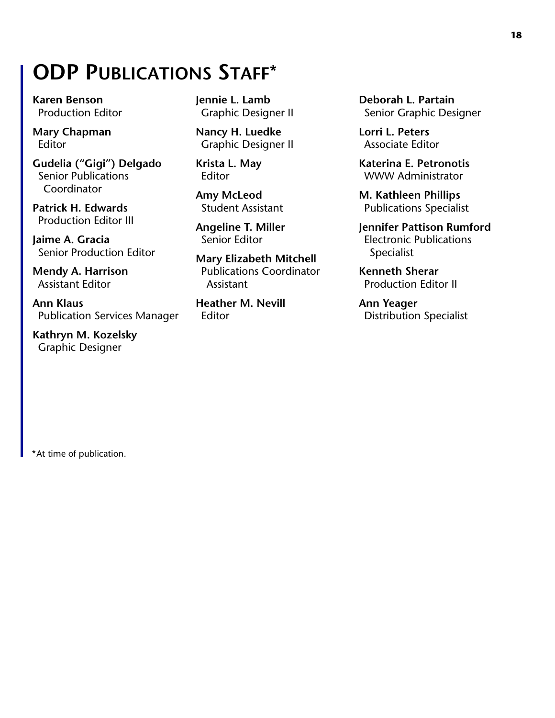### **ODP PUBLICATIONS STAFF\***

**Karen Benson** Production Editor

**Mary Chapman** Editor

**Gudelia ("Gigi") Delgado** Senior Publications Coordinator

**Patrick H. Edwards** Production Editor III

**Jaime A. Gracia** Senior Production Editor

**Mendy A. Harrison** Assistant Editor

**Ann Klaus** Publication Services Manager

**Kathryn M. Kozelsky** Graphic Designer

**Jennie L. Lamb** Graphic Designer II

**Nancy H. Luedke** Graphic Designer II

**Krista L. May** Editor

**Amy McLeod** Student Assistant

**Angeline T. Miller** Senior Editor

**Mary Elizabeth Mitchell** Publications Coordinator Assistant

**Heather M. Nevill** Editor

**Deborah L. Partain** Senior Graphic Designer

**Lorri L. Peters** Associate Editor

**Katerina E. Petronotis** WWW Administrator

**M. Kathleen Phillips** Publications Specialist

**Jennifer Pattison Rumford** Electronic Publications Specialist

**Kenneth Sherar** Production Editor II

**Ann Yeager** Distribution Specialist

\*At time of publication.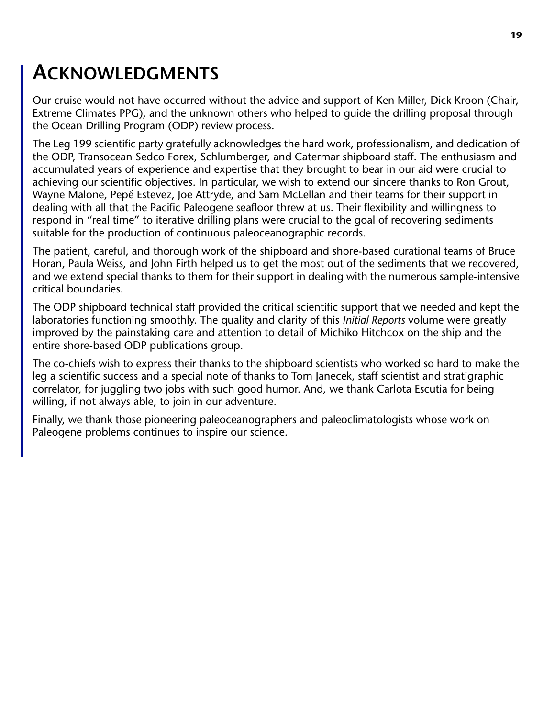#### **19**

### **ACKNOWLEDGMENTS**

Our cruise would not have occurred without the advice and support of Ken Miller, Dick Kroon (Chair, Extreme Climates PPG), and the unknown others who helped to guide the drilling proposal through the Ocean Drilling Program (ODP) review process.

The Leg 199 scientific party gratefully acknowledges the hard work, professionalism, and dedication of the ODP, Transocean Sedco Forex, Schlumberger, and Catermar shipboard staff. The enthusiasm and accumulated years of experience and expertise that they brought to bear in our aid were crucial to achieving our scientific objectives. In particular, we wish to extend our sincere thanks to Ron Grout, Wayne Malone, Pepé Estevez, Joe Attryde, and Sam McLellan and their teams for their support in dealing with all that the Pacific Paleogene seafloor threw at us. Their flexibility and willingness to respond in "real time" to iterative drilling plans were crucial to the goal of recovering sediments suitable for the production of continuous paleoceanographic records.

The patient, careful, and thorough work of the shipboard and shore-based curational teams of Bruce Horan, Paula Weiss, and John Firth helped us to get the most out of the sediments that we recovered, and we extend special thanks to them for their support in dealing with the numerous sample-intensive critical boundaries.

The ODP shipboard technical staff provided the critical scientific support that we needed and kept the laboratories functioning smoothly. The quality and clarity of this *Initial Reports* volume were greatly improved by the painstaking care and attention to detail of Michiko Hitchcox on the ship and the entire shore-based ODP publications group.

The co-chiefs wish to express their thanks to the shipboard scientists who worked so hard to make the leg a scientific success and a special note of thanks to Tom Janecek, staff scientist and stratigraphic correlator, for juggling two jobs with such good humor. And, we thank Carlota Escutia for being willing, if not always able, to join in our adventure.

<span id="page-18-0"></span>Finally, we thank those pioneering paleoceanographers and paleoclimatologists whose work on Paleogene problems continues to inspire our science.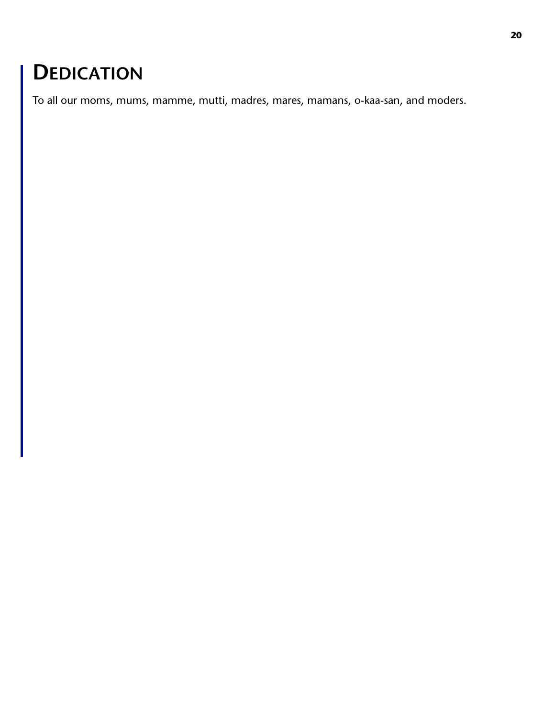### **DEDICATION**

To all our moms, mums, mamme, mutti, madres, mares, mamans, o-kaa-san, and moders.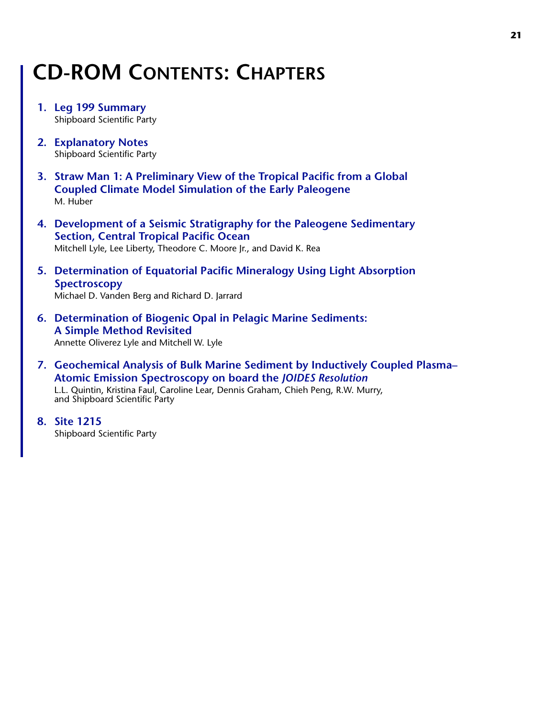### **CD-ROM CONTENTS: CHAPTERS**

- **[1. Leg 199 Summary](#page-0-0)** Shipboard Scientific Party
- **[2. Explanatory Notes](#page-0-0)** Shipboard Scientific Party
- **[3. Straw Man 1: A Preliminary View of the Tropical Pacific from a Global](#page-0-0) Coupled Climate Model Simulation of the Early Paleogene** M. Huber
- **[4. Development of a Seismic Stratigraphy for the Paleogene Sedimentary](#page-0-0) Section, Central Tropical Pacific Ocean** Mitchell Lyle, Lee Liberty, Theodore C. Moore Jr., and David K. Rea
- **[5. Determination of Equatorial Pacific Mineralogy Using Light Absorption](#page-0-0) Spectroscopy**

Michael D. Vanden Berg and Richard D. Jarrard

**[6. Determination of Biogenic Opal in Pelagic Marine Sediments:](#page-0-0) A Simple Method Revisited**

Annette Oliverez Lyle and Mitchell W. Lyle

**[7. Geochemical Analysis of Bulk Marine Sediment by Inductively Coupled Plasma–](#page-0-0) [Atomic Emission Spectroscopy on board the](#page-0-0)** *JOIDES Resolution*

L.L. Quintin, Kristina Faul, Caroline Lear, Dennis Graham, Chieh Peng, R.W. Murry, and Shipboard Scientific Party

**[8. Site 1215](#page-0-0)**

Shipboard Scientific Party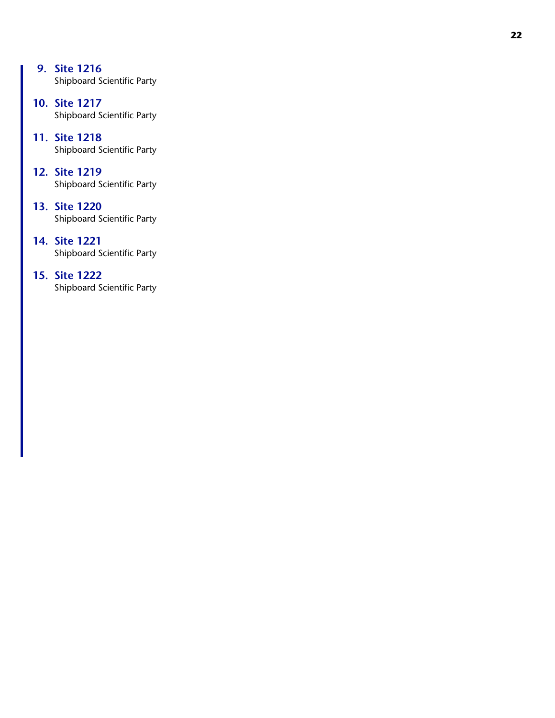- **[9. Site 1216](#page-0-0)** Shipboard Scientific Party
- **[10. Site 1217](#page-0-0)** Shipboard Scientific Party
- **[11. Site 1218](#page-0-0)** Shipboard Scientific Party
- **[12. Site 1219](#page-0-0)** Shipboard Scientific Party
- **[13. Site 1220](#page-0-0)** Shipboard Scientific Party
- **[14. Site 1221](#page-0-0)** Shipboard Scientific Party
- <span id="page-21-0"></span>**[15. Site 1222](#page-0-0)** Shipboard Scientific Party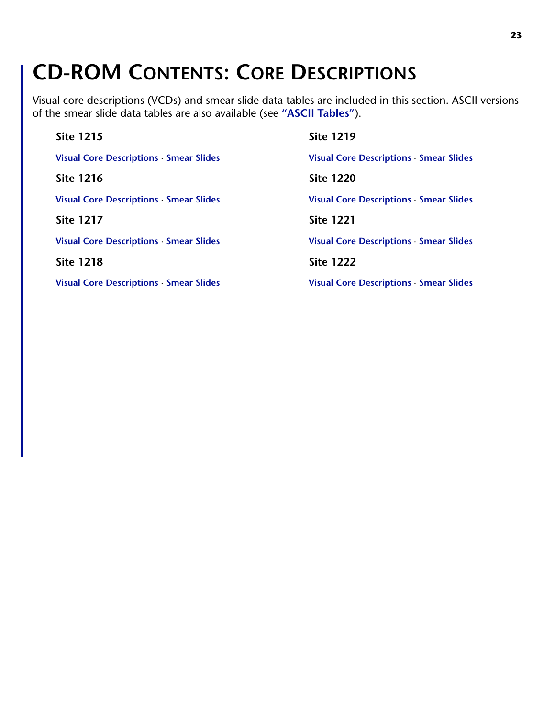### **CD-ROM CONTENTS: CORE DESCRIPTIONS**

Visual core descriptions (VCDs) and smear slide data tables are included in this section. ASCII versions of the smear slide data tables are also available (see **["ASCII Tables"](#page-23-0)**).

| <b>Site 1215</b>                             | <b>Site 1219</b>                               |
|----------------------------------------------|------------------------------------------------|
| Visual Core Descriptions · Smear Slides      | Visual Core Descriptions Smear Slides          |
| <b>Site 1216</b>                             | <b>Site 1220</b>                               |
| <b>Visual Core Descriptions Smear Slides</b> | <b>Visual Core Descriptions · Smear Slides</b> |
| <b>Site 1217</b>                             | <b>Site 1221</b>                               |
| Visual Core Descriptions · Smear Slides      | Visual Core Descriptions · Smear Slides        |
| <b>Site 1218</b>                             | <b>Site 1222</b>                               |
| <b>Visual Core Descriptions Smear Slides</b> | <b>Visual Core Descriptions · Smear Slides</b> |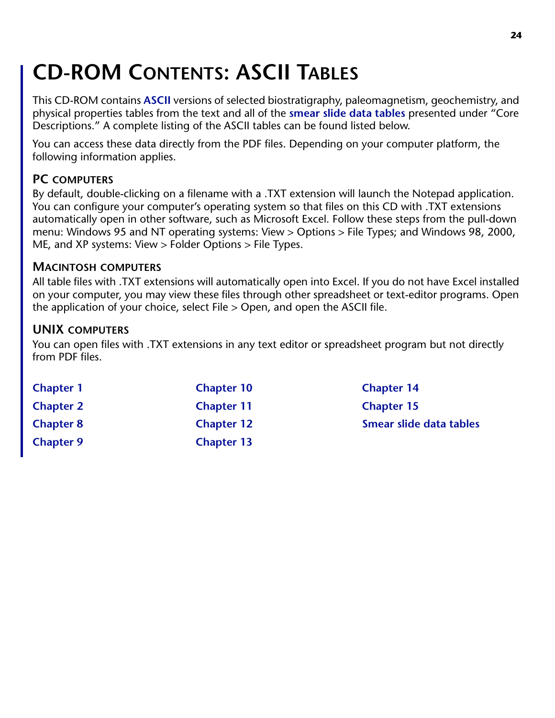# <span id="page-23-0"></span>**CD-ROM CONTENTS: ASCII TABLES**

This CD-ROM contains **[ASCII](#page-24-0)** versions of selected biostratigraphy, paleomagnetism, geochemistry, and physical properties tables from the text and all of the **[smear slide data tables](#page-28-1)** presented under "Core Descriptions." A complete listing of the ASCII tables can be found listed below.

You can access these data directly from the PDF files. Depending on your computer platform, the following information applies.

#### **PC COMPUTERS**

By default, double-clicking on a filename with a .TXT extension will launch the Notepad application. You can configure your computer's operating system so that files on this CD with .TXT extensions automatically open in other software, such as Microsoft Excel. Follow these steps from the pull-down menu: Windows 95 and NT operating systems: View > Options > File Types; and Windows 98, 2000, ME, and XP systems: View > Folder Options > File Types.

#### **MACINTOSH COMPUTERS**

All table files with .TXT extensions will automatically open into Excel. If you do not have Excel installed on your computer, you may view these files through other spreadsheet or text-editor programs. Open the application of your choice, select File > Open, and open the ASCII file.

#### **UNIX COMPUTERS**

You can open files with .TXT extensions in any text editor or spreadsheet program but not directly from PDF files.

| <b>Chapter 1</b> | <b>Chapter 10</b> |
|------------------|-------------------|
| <b>Chapter 2</b> | <b>Chapter 11</b> |
| <b>Chapter 8</b> | <b>Chapter 12</b> |
| <b>Chapter 9</b> | <b>Chapter 13</b> |

**[Chapter 1](#page-24-0) [Chapter 10](#page-25-0) [Chapter 14](#page-27-0) [Chapter 2](#page-24-1) [Chapter 11](#page-25-1) [Chapter 15](#page-28-0) [Smear slide data tables](#page-28-1)**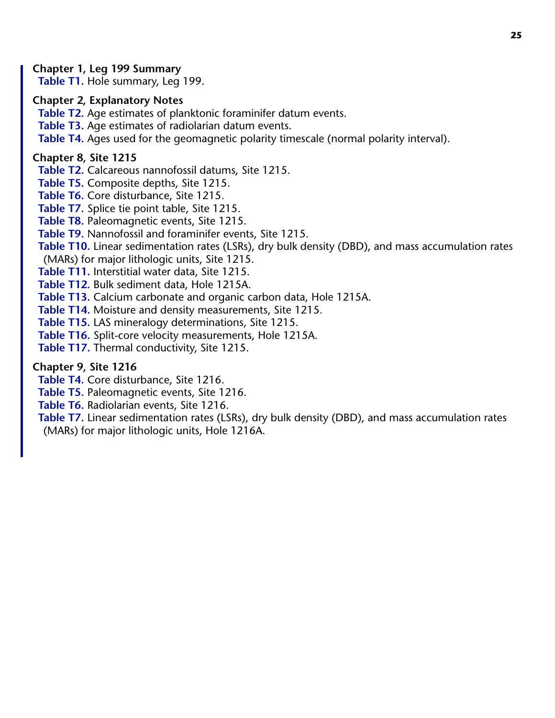#### <span id="page-24-0"></span>**Chapter 1, Leg 199 Summary**

**Table T1.** Hole summary, Leg 199.

#### <span id="page-24-1"></span>**Chapter 2, Explanatory Notes**

**Table T2.** Age estimates of planktonic foraminifer datum events.

**Table T3.** Age estimates of radiolarian datum events.

**Table T4.** Ages used for the geomagnetic polarity timescale (normal polarity interval).

#### **Chapter 8, Site 1215**

<span id="page-24-2"></span>**Table T2.** Calcareous nannofossil datums, Site 1215.

**Table T5.** Composite depths, Site 1215.

**Table T6.** Core disturbance, Site 1215.

**Table T7.** Splice tie point table, Site 1215.

**Table T8.** Paleomagnetic events, Site 1215.

**Table T9.** Nannofossil and foraminifer events, Site 1215.

**Table T10.** Linear sedimentation rates (LSRs), dry bulk density (DBD), and mass accumulation rates

(MARs) for major lithologic units, Site 1215.

**Table T11.** Interstitial water data, Site 1215.

**Table T12.** Bulk sediment data, Hole 1215A.

**Table T13.** Calcium carbonate and organic carbon data, Hole 1215A.

**Table T14.** Moisture and density measurements, Site 1215.

**Table T15.** LAS mineralogy determinations, Site 1215.

**Table T16.** Split-core velocity measurements, Hole 1215A.

**Table T17.** Thermal conductivity, Site 1215.

#### **Chapter 9, Site 1216**

<span id="page-24-3"></span>**Table T4.** Core disturbance, Site 1216.

**Table T5.** Paleomagnetic events, Site 1216.

**Table T6.** Radiolarian events, Site 1216.

**Table T7.** Linear sedimentation rates (LSRs), dry bulk density (DBD), and mass accumulation rates

(MARs) for major lithologic units, Hole 1216A.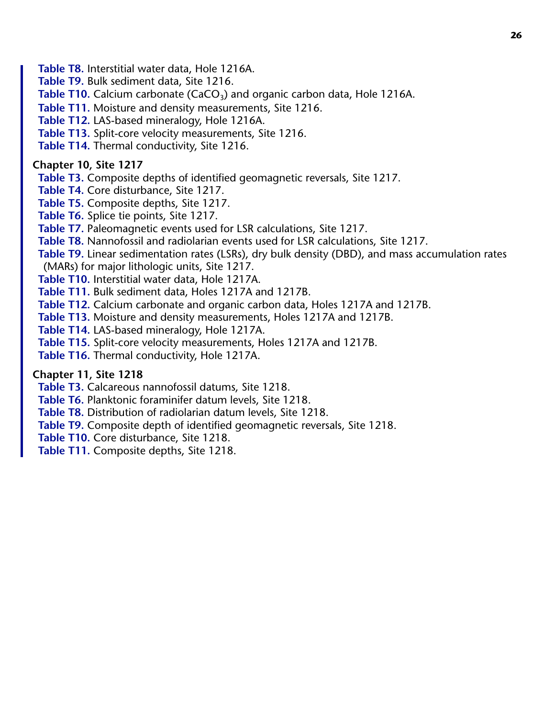**Table T8.** Interstitial water data, Hole 1216A.

**Table T9.** Bulk sediment data, Site 1216.

Table T10. Calcium carbonate (CaCO<sub>3</sub>) and organic carbon data, Hole 1216A.

**Table T11.** Moisture and density measurements, Site 1216.

**Table T12.** LAS-based mineralogy, Hole 1216A.

**Table T13.** Split-core velocity measurements, Site 1216.

**Table T14.** Thermal conductivity, Site 1216.

<span id="page-25-0"></span>**Chapter 10, Site 1217**

**Table T3.** Composite depths of identified geomagnetic reversals, Site 1217.

**Table T4.** Core disturbance, Site 1217.

**Table T5.** Composite depths, Site 1217.

**Table T6.** Splice tie points, Site 1217.

**Table T7.** Paleomagnetic events used for LSR calculations, Site 1217.

**Table T8.** Nannofossil and radiolarian events used for LSR calculations, Site 1217.

**Table T9.** Linear sedimentation rates (LSRs), dry bulk density (DBD), and mass accumulation rates

(MARs) for major lithologic units, Site 1217.

**Table T10.** Interstitial water data, Hole 1217A.

**Table T11.** Bulk sediment data, Holes 1217A and 1217B.

**Table T12.** Calcium carbonate and organic carbon data, Holes 1217A and 1217B.

**Table T13.** Moisture and density measurements, Holes 1217A and 1217B.

**Table T14.** LAS-based mineralogy, Hole 1217A.

**Table T15.** Split-core velocity measurements, Holes 1217A and 1217B.

**Table T16.** Thermal conductivity, Hole 1217A.

#### <span id="page-25-1"></span>**Chapter 11, Site 1218**

**Table T3.** Calcareous nannofossil datums, Site 1218.

**Table T6.** Planktonic foraminifer datum levels, Site 1218.

**Table T8.** Distribution of radiolarian datum levels, Site 1218.

**Table T9.** Composite depth of identified geomagnetic reversals, Site 1218.

**Table T10.** Core disturbance, Site 1218.

**Table T11.** Composite depths, Site 1218.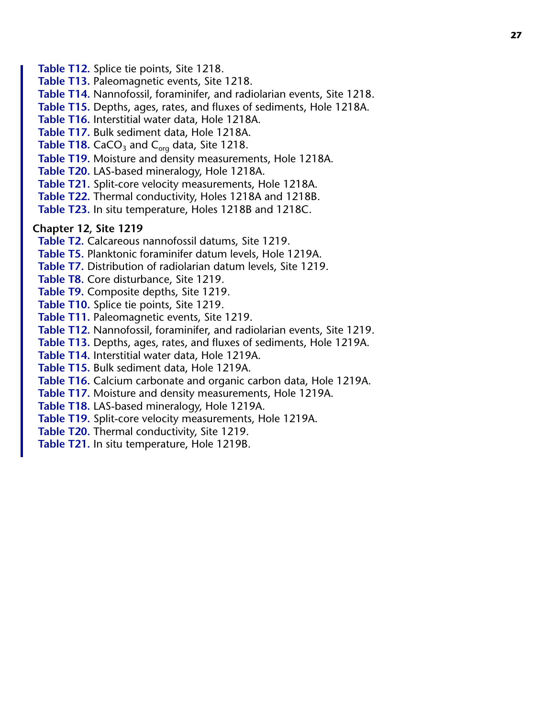<span id="page-26-0"></span>**Table T12.** Splice tie points, Site 1218. **Table T13.** Paleomagnetic events, Site 1218. **Table T14.** Nannofossil, foraminifer, and radiolarian events, Site 1218. **Table T15.** Depths, ages, rates, and fluxes of sediments, Hole 1218A. **Table T16.** Interstitial water data, Hole 1218A. **Table T17.** Bulk sediment data, Hole 1218A. **Table T18.** CaCO<sub>3</sub> and C<sub>org</sub> data, Site 1218. **Table T19.** Moisture and density measurements, Hole 1218A. **Table T20.** LAS-based mineralogy, Hole 1218A. **Table T21.** Split-core velocity measurements, Hole 1218A. **Table T22.** Thermal conductivity, Holes 1218A and 1218B. **Table T23.** In situ temperature, Holes 1218B and 1218C. **Chapter 12, Site 1219 Table T2.** Calcareous nannofossil datums, Site 1219. **Table T5.** Planktonic foraminifer datum levels, Hole 1219A. **Table T7.** Distribution of radiolarian datum levels, Site 1219. **Table T8.** Core disturbance, Site 1219. **Table T9.** Composite depths, Site 1219. **Table T10.** Splice tie points, Site 1219. **Table T11.** Paleomagnetic events, Site 1219. **Table T12.** Nannofossil, foraminifer, and radiolarian events, Site 1219. **Table T13.** Depths, ages, rates, and fluxes of sediments, Hole 1219A. **Table T14.** Interstitial water data, Hole 1219A. **Table T15.** Bulk sediment data, Hole 1219A. **Table T16.** Calcium carbonate and organic carbon data, Hole 1219A. **Table T17.** Moisture and density measurements, Hole 1219A. **Table T18.** LAS-based mineralogy, Hole 1219A. **Table T19.** Split-core velocity measurements, Hole 1219A.

**Table T20.** Thermal conductivity, Site 1219. **Table T21.** In situ temperature, Hole 1219B.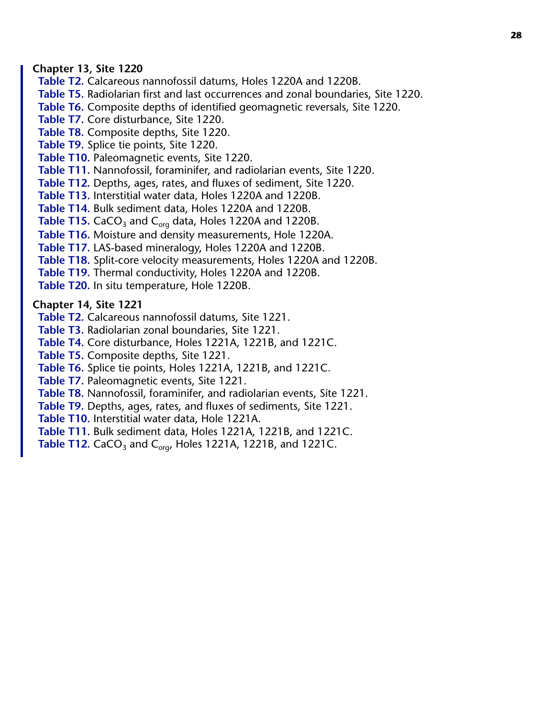#### <span id="page-27-1"></span>**Chapter 13, Site 1220**

**Table T2.** Calcareous nannofossil datums, Holes 1220A and 1220B. **Table T5.** Radiolarian first and last occurrences and zonal boundaries, Site 1220. **Table T6.** Composite depths of identified geomagnetic reversals, Site 1220. **Table T7.** Core disturbance, Site 1220. **Table T8.** Composite depths, Site 1220. **Table T9.** Splice tie points, Site 1220. **Table T10.** Paleomagnetic events, Site 1220. **Table T11.** Nannofossil, foraminifer, and radiolarian events, Site 1220. **Table T12.** Depths, ages, rates, and fluxes of sediment, Site 1220. **Table T13.** Interstitial water data, Holes 1220A and 1220B. **Table T14.** Bulk sediment data, Holes 1220A and 1220B. Table T15. CaCO<sub>3</sub> and C<sub>org</sub> data, Holes 1220A and 1220B. **Table T16.** Moisture and density measurements, Hole 1220A. **Table T17.** LAS-based mineralogy, Holes 1220A and 1220B. **Table T18.** Split-core velocity measurements, Holes 1220A and 1220B. **Table T19.** Thermal conductivity, Holes 1220A and 1220B. **Table T20.** In situ temperature, Hole 1220B.

#### <span id="page-27-0"></span>**Chapter 14, Site 1221**

**Table T2.** Calcareous nannofossil datums, Site 1221.

**Table T3.** Radiolarian zonal boundaries, Site 1221.

**Table T4.** Core disturbance, Holes 1221A, 1221B, and 1221C.

**Table T5.** Composite depths, Site 1221.

**Table T6.** Splice tie points, Holes 1221A, 1221B, and 1221C.

**Table T7.** Paleomagnetic events, Site 1221.

**Table T8.** Nannofossil, foraminifer, and radiolarian events, Site 1221.

**Table T9.** Depths, ages, rates, and fluxes of sediments, Site 1221.

**Table T10.** Interstitial water data, Hole 1221A.

**Table T11.** Bulk sediment data, Holes 1221A, 1221B, and 1221C.

**Table T12.** CaCO<sub>3</sub> and C<sub>org</sub>, Holes 1221A, 1221B, and 1221C.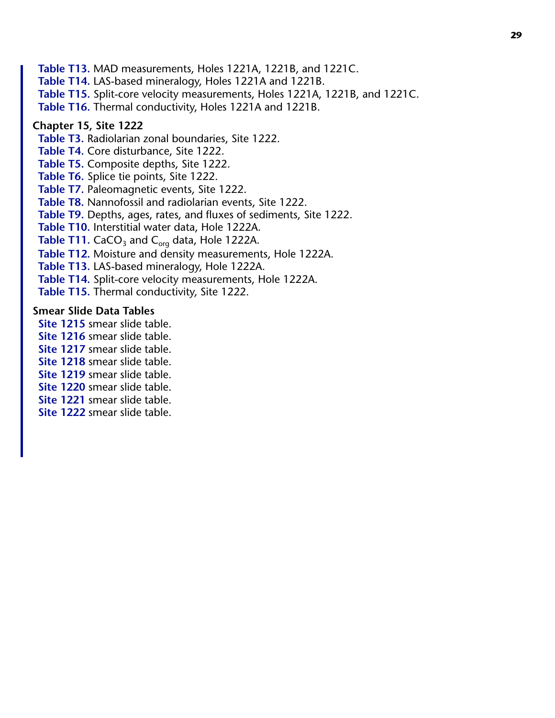**Table T13.** MAD measurements, Holes 1221A, 1221B, and 1221C. **Table T14.** LAS-based mineralogy, Holes 1221A and 1221B. **Table T15.** Split-core velocity measurements, Holes 1221A, 1221B, and 1221C. **Table T16.** Thermal conductivity, Holes 1221A and 1221B.

#### <span id="page-28-0"></span>**Chapter 15, Site 1222**

**Table T3.** Radiolarian zonal boundaries, Site 1222.

**Table T4.** Core disturbance, Site 1222.

**Table T5.** Composite depths, Site 1222.

**Table T6.** Splice tie points, Site 1222.

**Table T7.** Paleomagnetic events, Site 1222.

**Table T8.** Nannofossil and radiolarian events, Site 1222.

**Table T9.** Depths, ages, rates, and fluxes of sediments, Site 1222.

**Table T10.** Interstitial water data, Hole 1222A.

**Table T11.** CaCO<sub>3</sub> and C<sub>org</sub> data, Hole 1222A.

**Table T12.** Moisture and density measurements, Hole 1222A.

**Table T13.** LAS-based mineralogy, Hole 1222A.

**Table T14.** Split-core velocity measurements, Hole 1222A.

**Table T15.** Thermal conductivity, Site 1222.

#### <span id="page-28-1"></span>**Smear Slide Data Tables**

**Site 1215** smear slide table.

- **Site 1216** smear slide table.
- **Site 1217** smear slide table.
- **Site 1218** smear slide table.

**Site 1219** smear slide table.

**Site 1220** smear slide table.

**Site 1221** smear slide table.

**Site 1222** smear slide table.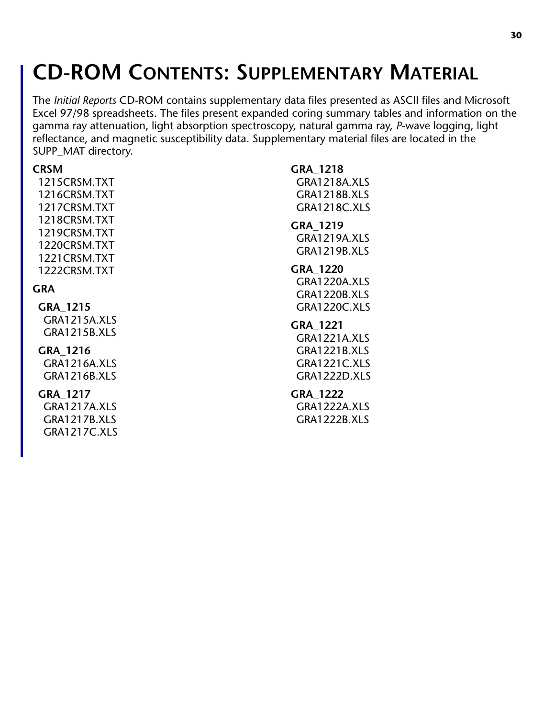# **CD-ROM CONTENTS: SUPPLEMENTARY MATERIAL**

The *Initial Reports* CD-ROM contains supplementary data files presented as ASCII files and Microsoft Excel 97/98 spreadsheets. The files present expanded coring summary tables and information on the gamma ray attenuation, light absorption spectroscopy, natural gamma ray, *P*-wave logging, light reflectance, and magnetic susceptibility data. Supplementary material files are located in the SUPP\_MAT directory.

<span id="page-29-0"></span>

| <b>CRSM</b>         | GRA 1218            |
|---------------------|---------------------|
| 1215CRSM.TXT        | <b>GRA1218A.XLS</b> |
| 1216CRSM.TXT        | <b>GRA1218B.XLS</b> |
| 1217CRSM.TXT        | <b>GRA1218C.XLS</b> |
| 1218CRSM.TXT        | GRA 1219            |
| 1219CRSM.TXT        | <b>GRA1219A.XLS</b> |
| 1220CRSM.TXT        | <b>GRA1219B.XLS</b> |
| 1221CRSM.TXT        |                     |
| 1222CRSM.TXT        | GRA 1220            |
| GRA                 | <b>GRA1220A.XLS</b> |
|                     | <b>GRA1220B.XLS</b> |
| GRA_1215            | GRA1220C.XLS        |
| GRA1215A.XLS        | <b>GRA 1221</b>     |
| <b>GRA1215B.XLS</b> | <b>GRA1221A.XLS</b> |
| GRA 1216            | <b>GRA1221B.XLS</b> |
| <b>GRA1216A.XLS</b> | <b>GRA1221C.XLS</b> |
| <b>GRA1216B.XLS</b> | <b>GRA1222D.XLS</b> |
|                     |                     |
| GRA 1217            | GRA 1222            |
| <b>GRA1217A.XLS</b> | <b>GRA1222A.XLS</b> |
| <b>GRA1217B.XLS</b> | <b>GRA1222B.XLS</b> |
| GRA1217C.XLS        |                     |
|                     |                     |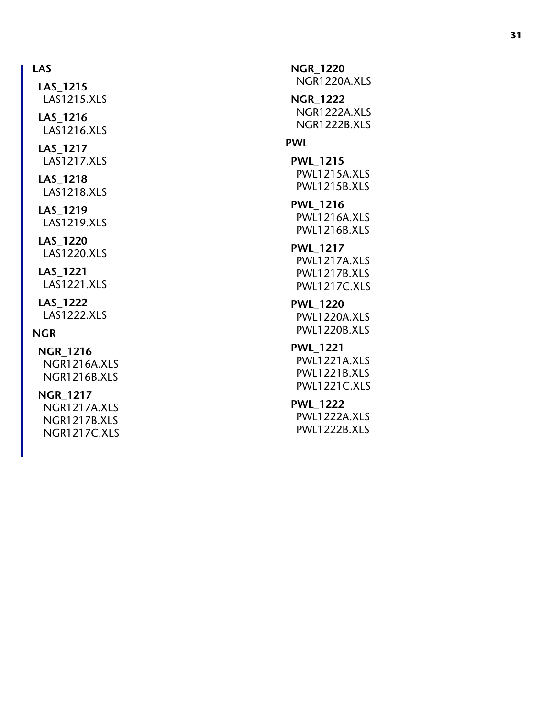#### **LAS**

LAS1215.XLS **LAS\_1216** LAS1216.XLS **LAS\_1217** LAS1217.XLS **LAS\_1218** LAS1218.XLS

**LAS\_1215**

#### **LAS\_1219** LAS1219.XLS

**LAS\_1220** LAS1220.XLS

#### **LAS\_1221** LAS1221.XLS

**LAS\_1222** LAS1222.XLS

#### **NGR**

**NGR\_1216** NGR1216A.XLS NGR1216B.XLS

#### **NGR\_1217**

<span id="page-30-0"></span>NGR1217A.XLS NGR1217B.XLS NGR1217C.XLS

**NGR\_1220** NGR1220A.XLS **NGR\_1222** NGR1222A.XLS NGR1222B.XLS **PWL PWL\_1215** PWL1215A.XLS PWL1215B.XLS **PWL\_1216** PWL1216A.XLS PWL1216B.XLS **PWL\_1217** PWL1217A.XLS PWL1217B.XLS PWL1217C.XLS **PWL\_1220** PWL1220A.XLS PWL1220B.XLS **PWL\_1221** PWL1221A.XLS PWL1221B.XLS PWL1221C.XLS **PWL\_1222** PWL1222A.XLS PWL1222B.XLS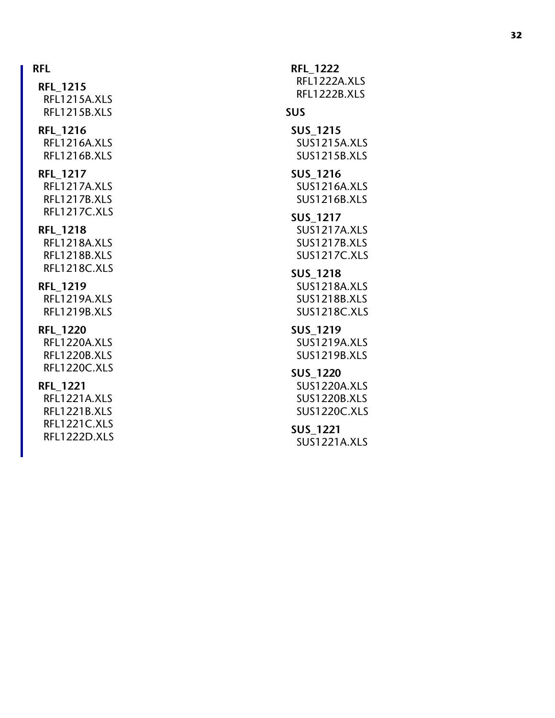#### **RFL**

**RFL\_1215** RFL1215A.XLS RFL1215B.XLS **RFL\_1216** RFL1216A.XLS

### RFL1216B.XLS

### **RFL\_1217**

RFL1217A.XLS RFL1217B.XLS RFL1217C.XLS

#### **RFL\_1218**

RFL1218A.XLS RFL1218B.XLS RFL1218C.XLS

#### **RFL\_1219**

RFL1219A.XLS RFL1219B.XLS

#### **RFL\_1220**

RFL1220A.XLS RFL1220B.XLS RFL1220C.XLS

#### **RFL\_1221**

RFL1221A.XLS RFL1221B.XLS RFL1221C.XLS RFL1222D.XLS

**RFL\_1222** RFL1222A.XLS RFL1222B.XLS **SUS SUS\_1215** SUS1215A.XLS SUS1215B.XLS **SUS\_1216** SUS1216A.XLS SUS1216B.XLS **SUS\_1217** SUS1217A.XLS SUS1217B.XLS SUS1217C.XLS **SUS\_1218** SUS1218A.XLS SUS1218B.XLS SUS1218C.XLS **SUS\_1219** SUS1219A.XLS SUS1219B.XLS **SUS\_1220** SUS1220A.XLS SUS1220B.XLS SUS1220C.XLS

#### **SUS\_1221** SUS1221A.XLS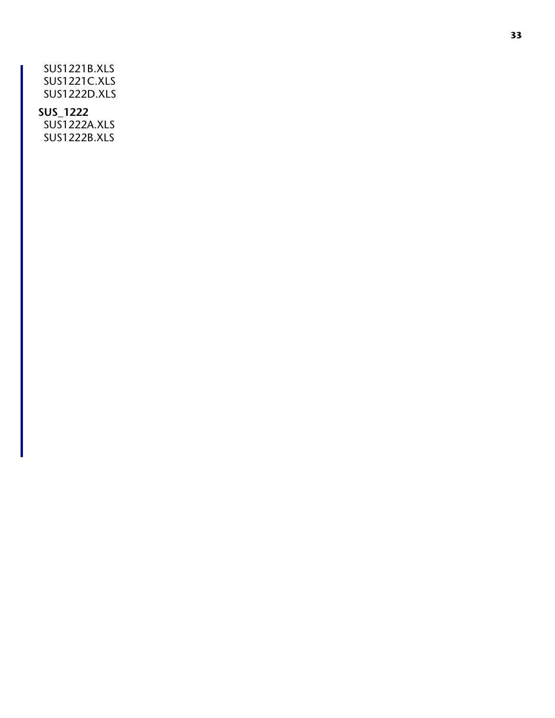SUS1221B.XLS SUS1221C.XLS SUS1222D.XLS

#### **SUS\_1222**

SUS1222A.XLS SUS1222B.XLS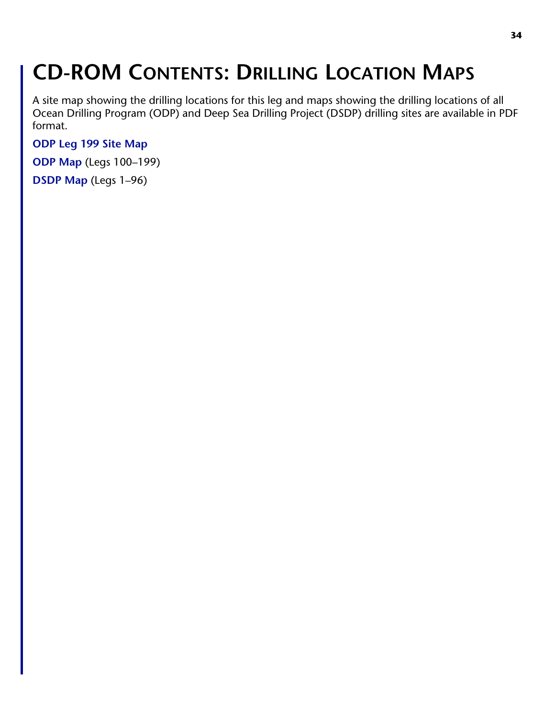# **CD-ROM CONTENTS: DRILLING LOCATION MAPS**

A site map showing the drilling locations for this leg and maps showing the drilling locations of all Ocean Drilling Program (ODP) and Deep Sea Drilling Project (DSDP) drilling sites are available in PDF format.

**[ODP Leg 199 Site Map](#page-0-0)**

**[ODP Map](#page-0-0)** (Legs 100–199)

**[DSDP Map](#page-0-0)** (Legs 1–96)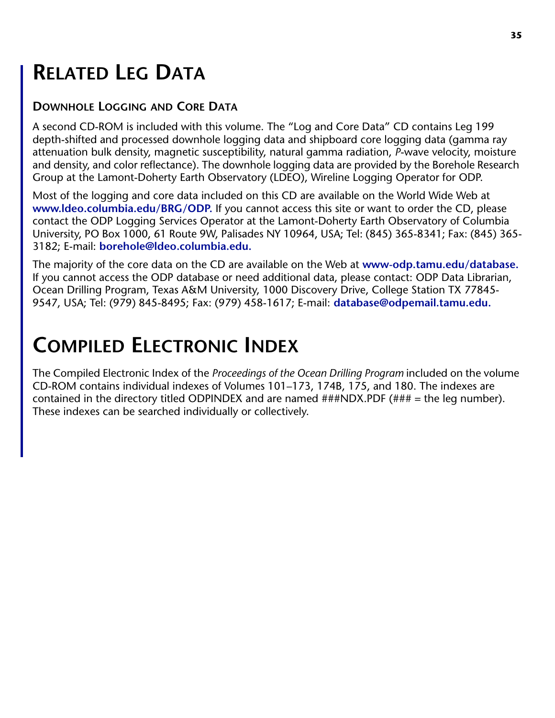### **RELATED LEG DATA**

#### **DOWNHOLE LOGGING AND CORE DATA**

A second CD-ROM is included with this volume. The "Log and Core Data" CD contains Leg 199 depth-shifted and processed downhole logging data and shipboard core logging data (gamma ray attenuation bulk density, magnetic susceptibility, natural gamma radiation, *P*-wave velocity, moisture and density, and color reflectance). The downhole logging data are provided by the Borehole Research Group at the Lamont-Doherty Earth Observatory (LDEO), Wireline Logging Operator for ODP.

Most of the logging and core data included on this CD are available on the World Wide Web at **[www.ldeo.columbia.edu/BRG/ODP.](http://www.ldeo.columbia.edu/BRG/ODP)** If you cannot access this site or want to order the CD, please contact the ODP Logging Services Operator at the Lamont-Doherty Earth Observatory of Columbia University, PO Box 1000, 61 Route 9W, Palisades NY 10964, USA; Tel: (845) 365-8341; Fax: (845) 365- 3182; E-mail: **[borehole@ldeo.columbia.edu.](mailto:borehole@ldeo.columbia.edu)**

The majority of the core data on the CD are available on the Web at **[www-odp.tamu.edu/database.](http://www-odp.tamu.edu/database)**  If you cannot access the ODP database or need additional data, please contact: ODP Data Librarian, Ocean Drilling Program, Texas A&M University, 1000 Discovery Drive, College Station TX 77845- 9547, USA; Tel: (979) 845-8495; Fax: (979) 458-1617; E-mail: **[database@odpemail.tamu.edu.](mailto:database@odpemail.tamu.edu)**

### **COMPILED ELECTRONIC INDEX**

The Compiled Electronic Index of the *Proceedings of the Ocean Drilling Program* included on the volume CD-ROM contains individual indexes of Volumes 101–173, 174B, 175, and 180. The indexes are contained in the directory titled ODPINDEX and are named  $\#H\#NDX.PDF$  ( $\#H\#$  = the leg number). These indexes can be searched individually or collectively.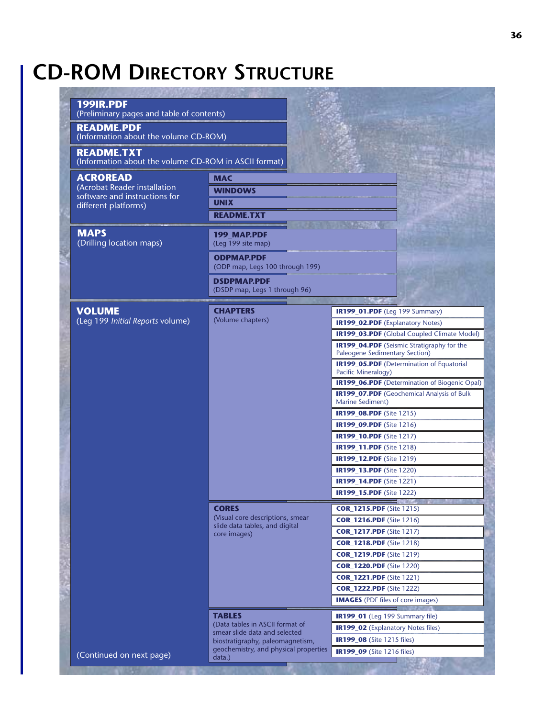### **CD-ROM DIRECTORY STRUCTURE**

| 199IR.PDF<br>(Preliminary pages and table of contents)<br><b>README.PDF</b><br>(Information about the volume CD-ROM)<br><b>README.TXT</b><br>(Information about the volume CD-ROM in ASCII format)<br><b>ACROREAD</b><br><b>MAC</b><br>(Acrobat Reader installation<br><b>WINDOWS</b><br>software and instructions for<br><b>UNIX</b><br>different platforms)<br><b>README.TXT</b><br><b>CONTROLL</b><br><b>MAPS</b><br>199 MAP.PDF<br>(Drilling location maps)<br>(Leg 199 site map)<br><b>ODPMAP.PDF</b><br>(ODP map, Legs 100 through 199)<br><b>DSDPMAP.PDF</b><br>(DSDP map, Legs 1 through 96)<br><b>VOLUME</b><br><b>CHAPTERS</b><br>IR199_01.PDF (Leg 199 Summary)<br>(Volume chapters)<br>(Leg 199 Initial Reports volume)<br>IR199_02.PDF (Explanatory Notes)<br><b>IR199_03.PDF</b> (Global Coupled Climate Model)<br><b>IR199_04.PDF</b> (Seismic Stratigraphy for the<br><b>Paleogene Sedimentary Section)</b><br><b>IR199_05.PDF</b> (Determination of Equatorial<br>Pacific Mineralogy)<br>IR199_06.PDF (Determination of Biogenic Opal)<br><b>IR199_07.PDF</b> (Geochemical Analysis of Bulk<br>Marine Sediment)<br><b>IR199_08.PDF</b> (Site 1215)<br><b>IR199_09.PDF</b> (Site 1216)<br><b>IR199_10.PDF</b> (Site 1217)<br><b>IR199_11.PDF</b> (Site 1218)<br><b>IR199_12.PDF</b> (Site 1219)<br><b>IR199_13.PDF</b> (Site 1220)<br><b>IR199_14.PDF</b> (Site 1221)<br><b>IR199_15.PDF</b> (Site 1222)<br><b>CORES</b><br><b>COR_1215.PDF</b> (Site 1215)<br>(Visual core descriptions, smear<br><b>COR_1216.PDF</b> (Site 1216)<br>slide data tables, and digital<br><b>COR_1217.PDF</b> (Site 1217)<br>core images)<br><b>COR_1218.PDF</b> (Site 1218)<br><b>COR_1219.PDF</b> (Site 1219)<br><b>COR_1220.PDF</b> (Site 1220)<br><b>COR_1221.PDF</b> (Site 1221)<br><b>COR_1222.PDF</b> (Site 1222)<br><b>IMAGES</b> (PDF files of core images)<br><b>TABLES</b><br>IR199_01 (Leg 199 Summary file)<br>(Data tables in ASCII format of<br><b>IR199_02</b> (Explanatory Notes files)<br>smear slide data and selected<br><b>IR199_08</b> (Site 1215 files)<br>biostratigraphy, paleomagnetism,<br>geochemistry, and physical properties<br><b>IR199_09</b> (Site 1216 files)<br>(Continued on next page) |  |        |  |
|----------------------------------------------------------------------------------------------------------------------------------------------------------------------------------------------------------------------------------------------------------------------------------------------------------------------------------------------------------------------------------------------------------------------------------------------------------------------------------------------------------------------------------------------------------------------------------------------------------------------------------------------------------------------------------------------------------------------------------------------------------------------------------------------------------------------------------------------------------------------------------------------------------------------------------------------------------------------------------------------------------------------------------------------------------------------------------------------------------------------------------------------------------------------------------------------------------------------------------------------------------------------------------------------------------------------------------------------------------------------------------------------------------------------------------------------------------------------------------------------------------------------------------------------------------------------------------------------------------------------------------------------------------------------------------------------------------------------------------------------------------------------------------------------------------------------------------------------------------------------------------------------------------------------------------------------------------------------------------------------------------------------------------------------------------------------------------------------------------------------------------------------------------------------------------------------------------------------------|--|--------|--|
|                                                                                                                                                                                                                                                                                                                                                                                                                                                                                                                                                                                                                                                                                                                                                                                                                                                                                                                                                                                                                                                                                                                                                                                                                                                                                                                                                                                                                                                                                                                                                                                                                                                                                                                                                                                                                                                                                                                                                                                                                                                                                                                                                                                                                            |  |        |  |
|                                                                                                                                                                                                                                                                                                                                                                                                                                                                                                                                                                                                                                                                                                                                                                                                                                                                                                                                                                                                                                                                                                                                                                                                                                                                                                                                                                                                                                                                                                                                                                                                                                                                                                                                                                                                                                                                                                                                                                                                                                                                                                                                                                                                                            |  |        |  |
|                                                                                                                                                                                                                                                                                                                                                                                                                                                                                                                                                                                                                                                                                                                                                                                                                                                                                                                                                                                                                                                                                                                                                                                                                                                                                                                                                                                                                                                                                                                                                                                                                                                                                                                                                                                                                                                                                                                                                                                                                                                                                                                                                                                                                            |  |        |  |
|                                                                                                                                                                                                                                                                                                                                                                                                                                                                                                                                                                                                                                                                                                                                                                                                                                                                                                                                                                                                                                                                                                                                                                                                                                                                                                                                                                                                                                                                                                                                                                                                                                                                                                                                                                                                                                                                                                                                                                                                                                                                                                                                                                                                                            |  |        |  |
|                                                                                                                                                                                                                                                                                                                                                                                                                                                                                                                                                                                                                                                                                                                                                                                                                                                                                                                                                                                                                                                                                                                                                                                                                                                                                                                                                                                                                                                                                                                                                                                                                                                                                                                                                                                                                                                                                                                                                                                                                                                                                                                                                                                                                            |  |        |  |
|                                                                                                                                                                                                                                                                                                                                                                                                                                                                                                                                                                                                                                                                                                                                                                                                                                                                                                                                                                                                                                                                                                                                                                                                                                                                                                                                                                                                                                                                                                                                                                                                                                                                                                                                                                                                                                                                                                                                                                                                                                                                                                                                                                                                                            |  |        |  |
|                                                                                                                                                                                                                                                                                                                                                                                                                                                                                                                                                                                                                                                                                                                                                                                                                                                                                                                                                                                                                                                                                                                                                                                                                                                                                                                                                                                                                                                                                                                                                                                                                                                                                                                                                                                                                                                                                                                                                                                                                                                                                                                                                                                                                            |  |        |  |
|                                                                                                                                                                                                                                                                                                                                                                                                                                                                                                                                                                                                                                                                                                                                                                                                                                                                                                                                                                                                                                                                                                                                                                                                                                                                                                                                                                                                                                                                                                                                                                                                                                                                                                                                                                                                                                                                                                                                                                                                                                                                                                                                                                                                                            |  |        |  |
|                                                                                                                                                                                                                                                                                                                                                                                                                                                                                                                                                                                                                                                                                                                                                                                                                                                                                                                                                                                                                                                                                                                                                                                                                                                                                                                                                                                                                                                                                                                                                                                                                                                                                                                                                                                                                                                                                                                                                                                                                                                                                                                                                                                                                            |  |        |  |
|                                                                                                                                                                                                                                                                                                                                                                                                                                                                                                                                                                                                                                                                                                                                                                                                                                                                                                                                                                                                                                                                                                                                                                                                                                                                                                                                                                                                                                                                                                                                                                                                                                                                                                                                                                                                                                                                                                                                                                                                                                                                                                                                                                                                                            |  |        |  |
|                                                                                                                                                                                                                                                                                                                                                                                                                                                                                                                                                                                                                                                                                                                                                                                                                                                                                                                                                                                                                                                                                                                                                                                                                                                                                                                                                                                                                                                                                                                                                                                                                                                                                                                                                                                                                                                                                                                                                                                                                                                                                                                                                                                                                            |  |        |  |
|                                                                                                                                                                                                                                                                                                                                                                                                                                                                                                                                                                                                                                                                                                                                                                                                                                                                                                                                                                                                                                                                                                                                                                                                                                                                                                                                                                                                                                                                                                                                                                                                                                                                                                                                                                                                                                                                                                                                                                                                                                                                                                                                                                                                                            |  |        |  |
|                                                                                                                                                                                                                                                                                                                                                                                                                                                                                                                                                                                                                                                                                                                                                                                                                                                                                                                                                                                                                                                                                                                                                                                                                                                                                                                                                                                                                                                                                                                                                                                                                                                                                                                                                                                                                                                                                                                                                                                                                                                                                                                                                                                                                            |  |        |  |
|                                                                                                                                                                                                                                                                                                                                                                                                                                                                                                                                                                                                                                                                                                                                                                                                                                                                                                                                                                                                                                                                                                                                                                                                                                                                                                                                                                                                                                                                                                                                                                                                                                                                                                                                                                                                                                                                                                                                                                                                                                                                                                                                                                                                                            |  |        |  |
|                                                                                                                                                                                                                                                                                                                                                                                                                                                                                                                                                                                                                                                                                                                                                                                                                                                                                                                                                                                                                                                                                                                                                                                                                                                                                                                                                                                                                                                                                                                                                                                                                                                                                                                                                                                                                                                                                                                                                                                                                                                                                                                                                                                                                            |  |        |  |
|                                                                                                                                                                                                                                                                                                                                                                                                                                                                                                                                                                                                                                                                                                                                                                                                                                                                                                                                                                                                                                                                                                                                                                                                                                                                                                                                                                                                                                                                                                                                                                                                                                                                                                                                                                                                                                                                                                                                                                                                                                                                                                                                                                                                                            |  |        |  |
|                                                                                                                                                                                                                                                                                                                                                                                                                                                                                                                                                                                                                                                                                                                                                                                                                                                                                                                                                                                                                                                                                                                                                                                                                                                                                                                                                                                                                                                                                                                                                                                                                                                                                                                                                                                                                                                                                                                                                                                                                                                                                                                                                                                                                            |  |        |  |
|                                                                                                                                                                                                                                                                                                                                                                                                                                                                                                                                                                                                                                                                                                                                                                                                                                                                                                                                                                                                                                                                                                                                                                                                                                                                                                                                                                                                                                                                                                                                                                                                                                                                                                                                                                                                                                                                                                                                                                                                                                                                                                                                                                                                                            |  |        |  |
|                                                                                                                                                                                                                                                                                                                                                                                                                                                                                                                                                                                                                                                                                                                                                                                                                                                                                                                                                                                                                                                                                                                                                                                                                                                                                                                                                                                                                                                                                                                                                                                                                                                                                                                                                                                                                                                                                                                                                                                                                                                                                                                                                                                                                            |  |        |  |
|                                                                                                                                                                                                                                                                                                                                                                                                                                                                                                                                                                                                                                                                                                                                                                                                                                                                                                                                                                                                                                                                                                                                                                                                                                                                                                                                                                                                                                                                                                                                                                                                                                                                                                                                                                                                                                                                                                                                                                                                                                                                                                                                                                                                                            |  |        |  |
|                                                                                                                                                                                                                                                                                                                                                                                                                                                                                                                                                                                                                                                                                                                                                                                                                                                                                                                                                                                                                                                                                                                                                                                                                                                                                                                                                                                                                                                                                                                                                                                                                                                                                                                                                                                                                                                                                                                                                                                                                                                                                                                                                                                                                            |  |        |  |
|                                                                                                                                                                                                                                                                                                                                                                                                                                                                                                                                                                                                                                                                                                                                                                                                                                                                                                                                                                                                                                                                                                                                                                                                                                                                                                                                                                                                                                                                                                                                                                                                                                                                                                                                                                                                                                                                                                                                                                                                                                                                                                                                                                                                                            |  |        |  |
|                                                                                                                                                                                                                                                                                                                                                                                                                                                                                                                                                                                                                                                                                                                                                                                                                                                                                                                                                                                                                                                                                                                                                                                                                                                                                                                                                                                                                                                                                                                                                                                                                                                                                                                                                                                                                                                                                                                                                                                                                                                                                                                                                                                                                            |  |        |  |
|                                                                                                                                                                                                                                                                                                                                                                                                                                                                                                                                                                                                                                                                                                                                                                                                                                                                                                                                                                                                                                                                                                                                                                                                                                                                                                                                                                                                                                                                                                                                                                                                                                                                                                                                                                                                                                                                                                                                                                                                                                                                                                                                                                                                                            |  |        |  |
|                                                                                                                                                                                                                                                                                                                                                                                                                                                                                                                                                                                                                                                                                                                                                                                                                                                                                                                                                                                                                                                                                                                                                                                                                                                                                                                                                                                                                                                                                                                                                                                                                                                                                                                                                                                                                                                                                                                                                                                                                                                                                                                                                                                                                            |  |        |  |
|                                                                                                                                                                                                                                                                                                                                                                                                                                                                                                                                                                                                                                                                                                                                                                                                                                                                                                                                                                                                                                                                                                                                                                                                                                                                                                                                                                                                                                                                                                                                                                                                                                                                                                                                                                                                                                                                                                                                                                                                                                                                                                                                                                                                                            |  |        |  |
|                                                                                                                                                                                                                                                                                                                                                                                                                                                                                                                                                                                                                                                                                                                                                                                                                                                                                                                                                                                                                                                                                                                                                                                                                                                                                                                                                                                                                                                                                                                                                                                                                                                                                                                                                                                                                                                                                                                                                                                                                                                                                                                                                                                                                            |  |        |  |
|                                                                                                                                                                                                                                                                                                                                                                                                                                                                                                                                                                                                                                                                                                                                                                                                                                                                                                                                                                                                                                                                                                                                                                                                                                                                                                                                                                                                                                                                                                                                                                                                                                                                                                                                                                                                                                                                                                                                                                                                                                                                                                                                                                                                                            |  |        |  |
|                                                                                                                                                                                                                                                                                                                                                                                                                                                                                                                                                                                                                                                                                                                                                                                                                                                                                                                                                                                                                                                                                                                                                                                                                                                                                                                                                                                                                                                                                                                                                                                                                                                                                                                                                                                                                                                                                                                                                                                                                                                                                                                                                                                                                            |  |        |  |
|                                                                                                                                                                                                                                                                                                                                                                                                                                                                                                                                                                                                                                                                                                                                                                                                                                                                                                                                                                                                                                                                                                                                                                                                                                                                                                                                                                                                                                                                                                                                                                                                                                                                                                                                                                                                                                                                                                                                                                                                                                                                                                                                                                                                                            |  |        |  |
|                                                                                                                                                                                                                                                                                                                                                                                                                                                                                                                                                                                                                                                                                                                                                                                                                                                                                                                                                                                                                                                                                                                                                                                                                                                                                                                                                                                                                                                                                                                                                                                                                                                                                                                                                                                                                                                                                                                                                                                                                                                                                                                                                                                                                            |  |        |  |
|                                                                                                                                                                                                                                                                                                                                                                                                                                                                                                                                                                                                                                                                                                                                                                                                                                                                                                                                                                                                                                                                                                                                                                                                                                                                                                                                                                                                                                                                                                                                                                                                                                                                                                                                                                                                                                                                                                                                                                                                                                                                                                                                                                                                                            |  |        |  |
|                                                                                                                                                                                                                                                                                                                                                                                                                                                                                                                                                                                                                                                                                                                                                                                                                                                                                                                                                                                                                                                                                                                                                                                                                                                                                                                                                                                                                                                                                                                                                                                                                                                                                                                                                                                                                                                                                                                                                                                                                                                                                                                                                                                                                            |  |        |  |
|                                                                                                                                                                                                                                                                                                                                                                                                                                                                                                                                                                                                                                                                                                                                                                                                                                                                                                                                                                                                                                                                                                                                                                                                                                                                                                                                                                                                                                                                                                                                                                                                                                                                                                                                                                                                                                                                                                                                                                                                                                                                                                                                                                                                                            |  |        |  |
|                                                                                                                                                                                                                                                                                                                                                                                                                                                                                                                                                                                                                                                                                                                                                                                                                                                                                                                                                                                                                                                                                                                                                                                                                                                                                                                                                                                                                                                                                                                                                                                                                                                                                                                                                                                                                                                                                                                                                                                                                                                                                                                                                                                                                            |  |        |  |
|                                                                                                                                                                                                                                                                                                                                                                                                                                                                                                                                                                                                                                                                                                                                                                                                                                                                                                                                                                                                                                                                                                                                                                                                                                                                                                                                                                                                                                                                                                                                                                                                                                                                                                                                                                                                                                                                                                                                                                                                                                                                                                                                                                                                                            |  |        |  |
|                                                                                                                                                                                                                                                                                                                                                                                                                                                                                                                                                                                                                                                                                                                                                                                                                                                                                                                                                                                                                                                                                                                                                                                                                                                                                                                                                                                                                                                                                                                                                                                                                                                                                                                                                                                                                                                                                                                                                                                                                                                                                                                                                                                                                            |  |        |  |
|                                                                                                                                                                                                                                                                                                                                                                                                                                                                                                                                                                                                                                                                                                                                                                                                                                                                                                                                                                                                                                                                                                                                                                                                                                                                                                                                                                                                                                                                                                                                                                                                                                                                                                                                                                                                                                                                                                                                                                                                                                                                                                                                                                                                                            |  |        |  |
|                                                                                                                                                                                                                                                                                                                                                                                                                                                                                                                                                                                                                                                                                                                                                                                                                                                                                                                                                                                                                                                                                                                                                                                                                                                                                                                                                                                                                                                                                                                                                                                                                                                                                                                                                                                                                                                                                                                                                                                                                                                                                                                                                                                                                            |  |        |  |
|                                                                                                                                                                                                                                                                                                                                                                                                                                                                                                                                                                                                                                                                                                                                                                                                                                                                                                                                                                                                                                                                                                                                                                                                                                                                                                                                                                                                                                                                                                                                                                                                                                                                                                                                                                                                                                                                                                                                                                                                                                                                                                                                                                                                                            |  |        |  |
|                                                                                                                                                                                                                                                                                                                                                                                                                                                                                                                                                                                                                                                                                                                                                                                                                                                                                                                                                                                                                                                                                                                                                                                                                                                                                                                                                                                                                                                                                                                                                                                                                                                                                                                                                                                                                                                                                                                                                                                                                                                                                                                                                                                                                            |  |        |  |
|                                                                                                                                                                                                                                                                                                                                                                                                                                                                                                                                                                                                                                                                                                                                                                                                                                                                                                                                                                                                                                                                                                                                                                                                                                                                                                                                                                                                                                                                                                                                                                                                                                                                                                                                                                                                                                                                                                                                                                                                                                                                                                                                                                                                                            |  |        |  |
|                                                                                                                                                                                                                                                                                                                                                                                                                                                                                                                                                                                                                                                                                                                                                                                                                                                                                                                                                                                                                                                                                                                                                                                                                                                                                                                                                                                                                                                                                                                                                                                                                                                                                                                                                                                                                                                                                                                                                                                                                                                                                                                                                                                                                            |  |        |  |
|                                                                                                                                                                                                                                                                                                                                                                                                                                                                                                                                                                                                                                                                                                                                                                                                                                                                                                                                                                                                                                                                                                                                                                                                                                                                                                                                                                                                                                                                                                                                                                                                                                                                                                                                                                                                                                                                                                                                                                                                                                                                                                                                                                                                                            |  |        |  |
|                                                                                                                                                                                                                                                                                                                                                                                                                                                                                                                                                                                                                                                                                                                                                                                                                                                                                                                                                                                                                                                                                                                                                                                                                                                                                                                                                                                                                                                                                                                                                                                                                                                                                                                                                                                                                                                                                                                                                                                                                                                                                                                                                                                                                            |  |        |  |
|                                                                                                                                                                                                                                                                                                                                                                                                                                                                                                                                                                                                                                                                                                                                                                                                                                                                                                                                                                                                                                                                                                                                                                                                                                                                                                                                                                                                                                                                                                                                                                                                                                                                                                                                                                                                                                                                                                                                                                                                                                                                                                                                                                                                                            |  |        |  |
|                                                                                                                                                                                                                                                                                                                                                                                                                                                                                                                                                                                                                                                                                                                                                                                                                                                                                                                                                                                                                                                                                                                                                                                                                                                                                                                                                                                                                                                                                                                                                                                                                                                                                                                                                                                                                                                                                                                                                                                                                                                                                                                                                                                                                            |  |        |  |
|                                                                                                                                                                                                                                                                                                                                                                                                                                                                                                                                                                                                                                                                                                                                                                                                                                                                                                                                                                                                                                                                                                                                                                                                                                                                                                                                                                                                                                                                                                                                                                                                                                                                                                                                                                                                                                                                                                                                                                                                                                                                                                                                                                                                                            |  |        |  |
|                                                                                                                                                                                                                                                                                                                                                                                                                                                                                                                                                                                                                                                                                                                                                                                                                                                                                                                                                                                                                                                                                                                                                                                                                                                                                                                                                                                                                                                                                                                                                                                                                                                                                                                                                                                                                                                                                                                                                                                                                                                                                                                                                                                                                            |  |        |  |
|                                                                                                                                                                                                                                                                                                                                                                                                                                                                                                                                                                                                                                                                                                                                                                                                                                                                                                                                                                                                                                                                                                                                                                                                                                                                                                                                                                                                                                                                                                                                                                                                                                                                                                                                                                                                                                                                                                                                                                                                                                                                                                                                                                                                                            |  | data.) |  |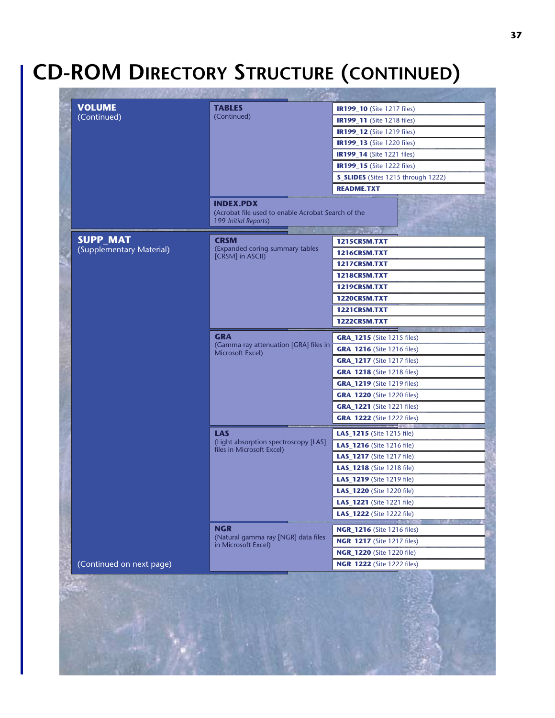# **CD-ROM DIRECTORY STRUCTURE (CONTINUED)**

|                           | <b>TABLES</b>                                                                                  | <b>IR199_10</b> (Site 1217 files)         |
|---------------------------|------------------------------------------------------------------------------------------------|-------------------------------------------|
| (Continued)               | (Continued)                                                                                    | <b>IR199_11</b> (Site 1218 files)         |
|                           |                                                                                                | <b>IR199_12</b> (Site 1219 files)         |
|                           |                                                                                                | <b>IR199_13</b> (Site 1220 files)         |
|                           |                                                                                                | <b>IR199_14</b> (Site 1221 files)         |
|                           |                                                                                                | <b>IR199_15</b> (Site 1222 files)         |
|                           |                                                                                                | <b>S_SLIDES</b> (Sites 1215 through 1222) |
|                           |                                                                                                | <b>README.TXT</b>                         |
|                           | <b>INDEX.PDX</b><br>(Acrobat file used to enable Acrobat Search of the<br>199 Initial Reports) | <b>THE REAL PROPERTY</b>                  |
| <b>SUPP_MAT</b>           | CRSM                                                                                           | 1215CRSM.TXT                              |
| (Supplementary Material)  | (Expanded coring summary tables                                                                | 1216CRSM.TXT                              |
|                           | [CRSM] in ASCII)                                                                               | 1217CRSM.TXT                              |
|                           |                                                                                                | 1218CRSM.TXT                              |
|                           |                                                                                                | 1219CRSM.TXT                              |
|                           |                                                                                                | 1220CRSM.TXT                              |
|                           |                                                                                                | 1221CRSM.TXT                              |
|                           |                                                                                                | 1222CRSM.TXT                              |
|                           | <b>GRA</b>                                                                                     | <b>GRA_1215</b> (Site 1215 files)         |
|                           | (Gamma ray attenuation [GRA] files in<br>Microsoft Excel)                                      | <b>GRA_1216</b> (Site 1216 files)         |
|                           |                                                                                                | <b>GRA_1217</b> (Site 1217 files)         |
|                           |                                                                                                | <b>GRA_1218</b> (Site 1218 files)         |
|                           |                                                                                                | <b>GRA_1219</b> (Site 1219 files)         |
|                           |                                                                                                | <b>GRA_1220</b> (Site 1220 files)         |
|                           |                                                                                                | <b>GRA_1221</b> (Site 1221 files)         |
|                           |                                                                                                | <b>GRA_1222</b> (Site 1222 files)         |
|                           | <b>LAS</b>                                                                                     | LAS_1215 (Site 1215 file)                 |
|                           | (Light absorption spectroscopy [LAS]                                                           | LAS_1216 (Site 1216 file)                 |
| files in Microsoft Excel) |                                                                                                | <b>LAS_1217</b> (Site 1217 file)          |
|                           |                                                                                                | <b>LAS_1218</b> (Site 1218 file)          |
|                           |                                                                                                | <b>LAS_1219</b> (Site 1219 file)          |
|                           |                                                                                                | <b>LAS_1220</b> (Site 1220 file)          |
|                           |                                                                                                | LAS_1221 (Site 1221 file)                 |
|                           |                                                                                                | LAS_1222 (Site 1222 file)                 |
|                           | <b>NGR</b>                                                                                     | <b>NGR_1216</b> (Site 1216 files)         |
|                           | (Natural gamma ray [NGR] data files                                                            | <b>NGR_1217</b> (Site 1217 files)         |
|                           | in Microsoft Excel)                                                                            | <b>NGR_1220</b> (Site 1220 file)          |
|                           |                                                                                                |                                           |